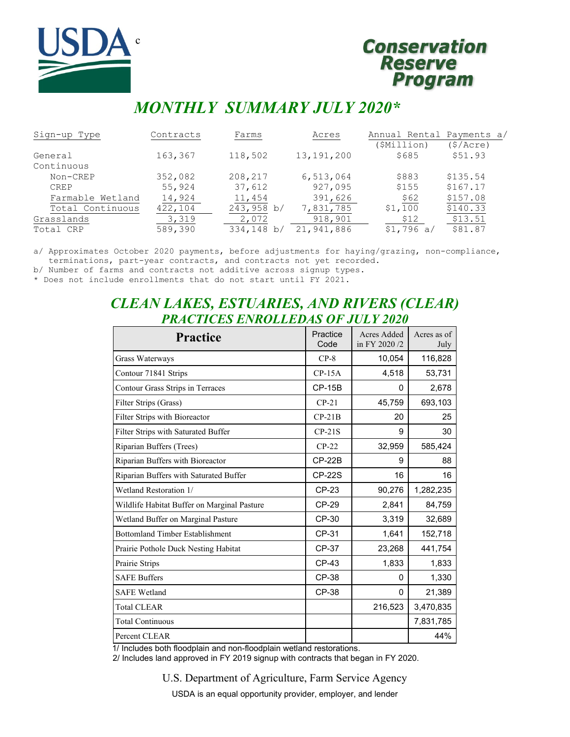

# **Conservation Reserve Program**

# *MONTHLY SUMMARY JULY 2020\**

| Sign-up Type     | Contracts | Farms      | Acres        | Annual Rental Payments a/ |          |
|------------------|-----------|------------|--------------|---------------------------|----------|
|                  |           |            |              | (\$Million)               | (S/Acre) |
| General          | 163,367   | 118,502    | 13, 191, 200 | \$685                     | \$51.93  |
| Continuous       |           |            |              |                           |          |
| Non-CREP         | 352,082   | 208,217    | 6,513,064    | \$883                     | \$135.54 |
| <b>CREP</b>      | 55,924    | 37,612     | 927,095      | \$155                     | \$167.17 |
| Farmable Wetland | 14,924    | 11,454     | 391,626      | \$62                      | \$157.08 |
| Total Continuous | 422,104   | 243,958 b/ | 7,831,785    | \$1,100                   | \$140.33 |
| Grasslands       | 3,319     | 2,072      | 918,901      | \$12                      | \$13.51  |
| Total CRP        | 589,390   | 334,148 b/ | 21,941,886   | \$1,796 a/                | \$81.87  |

a/ Approximates October 2020 payments, before adjustments for haying/grazing, non-compliance, terminations, part-year contracts, and contracts not yet recorded.

b/ Number of farms and contracts not additive across signup types.

\* Does not include enrollments that do not start until FY 2021.

# *CLEAN LAKES, ESTUARIES, AND RIVERS (CLEAR) PRACTICES ENROLLEDAS OF JULY 2020*

| <b>Practice</b>                             | Practice<br>Code | Acres Added<br>in FY 2020/2 | Acres as of<br>July |
|---------------------------------------------|------------------|-----------------------------|---------------------|
| Grass Waterways                             | $CP-8$           | 10,054                      | 116,828             |
| Contour 71841 Strips                        | $CP-15A$         | 4,518                       | 53,731              |
| Contour Grass Strips in Terraces            | $CP-15B$         | 0                           | 2,678               |
| Filter Strips (Grass)                       | $CP-21$          | 45,759                      | 693,103             |
| Filter Strips with Bioreactor               | $CP-21B$         | 20                          | 25                  |
| Filter Strips with Saturated Buffer         | $CP-21S$         | 9                           | 30                  |
| Riparian Buffers (Trees)                    | $CP-22$          | 32,959                      | 585,424             |
| Riparian Buffers with Bioreactor            | $CP-22B$         | 9                           | 88                  |
| Riparian Buffers with Saturated Buffer      | <b>CP-22S</b>    | 16                          | 16                  |
| Wetland Restoration 1/                      | CP-23            | 90,276                      | 1,282,235           |
| Wildlife Habitat Buffer on Marginal Pasture | CP-29            | 2,841                       | 84,759              |
| Wetland Buffer on Marginal Pasture          | CP-30            | 3,319                       | 32,689              |
| <b>Bottomland Timber Establishment</b>      | CP-31            | 1,641                       | 152,718             |
| Prairie Pothole Duck Nesting Habitat        | CP-37            | 23,268                      | 441,754             |
| Prairie Strips                              | CP-43            | 1,833                       | 1,833               |
| <b>SAFE Buffers</b>                         | CP-38            | 0                           | 1,330               |
| <b>SAFE Wetland</b>                         | CP-38            | 0                           | 21,389              |
| <b>Total CLEAR</b>                          |                  | 216,523                     | 3,470,835           |
| <b>Total Continuous</b>                     |                  |                             | 7,831,785           |
| Percent CLEAR                               |                  |                             | 44%                 |

1/ Includes both floodplain and non-floodplain wetland restorations.

2/ Includes land approved in FY 2019 signup with contracts that began in FY 2020.

U.S. Department of Agriculture, Farm Service Agency

USDA is an equal opportunity provider, employer, and lender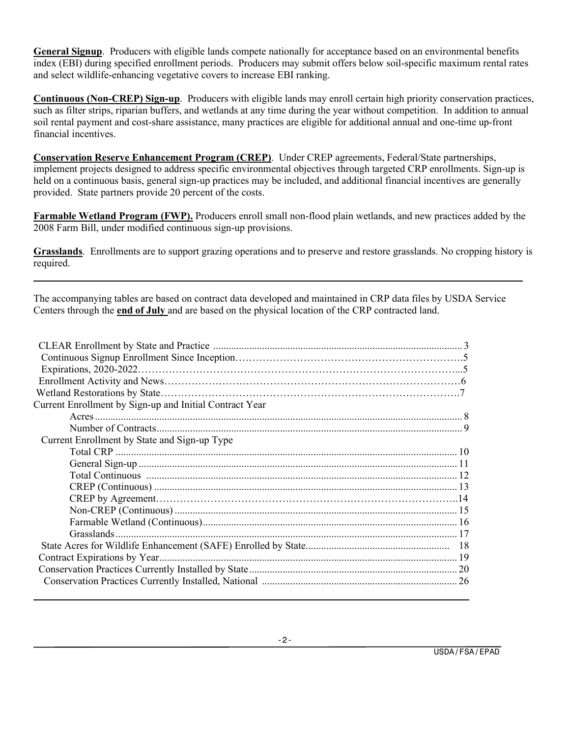**General Signup**. Producers with eligible lands compete nationally for acceptance based on an environmental benefits index (EBI) during specified enrollment periods. Producers may submit offers below soil-specific maximum rental rates and select wildlife-enhancing vegetative covers to increase EBI ranking.

**Continuous (Non-CREP) Sign-up**. Producers with eligible lands may enroll certain high priority conservation practices, such as filter strips, riparian buffers, and wetlands at any time during the year without competition. In addition to annual soil rental payment and cost-share assistance, many practices are eligible for additional annual and one-time up-front financial incentives.

**Conservation Reserve Enhancement Program (CREP)**. Under CREP agreements, Federal/State partnerships, implement projects designed to address specific environmental objectives through targeted CRP enrollments. Sign-up is held on a continuous basis, general sign-up practices may be included, and additional financial incentives are generally provided. State partners provide 20 percent of the costs.

**Farmable Wetland Program (FWP).** Producers enroll small non-flood plain wetlands, and new practices added by the 2008 Farm Bill, under modified continuous sign-up provisions.

**Grasslands**. Enrollments are to support grazing operations and to preserve and restore grasslands. No cropping history is required.

The accompanying tables are based on contract data developed and maintained in CRP data files by USDA Service Centers through the **end of July** and are based on the physical location of the CRP contracted land.

| Current Enrollment by Sign-up and Initial Contract Year |  |
|---------------------------------------------------------|--|
|                                                         |  |
|                                                         |  |
| Current Enrollment by State and Sign-up Type            |  |
|                                                         |  |
|                                                         |  |
|                                                         |  |
|                                                         |  |
|                                                         |  |
|                                                         |  |
|                                                         |  |
|                                                         |  |
|                                                         |  |
|                                                         |  |
|                                                         |  |
|                                                         |  |
|                                                         |  |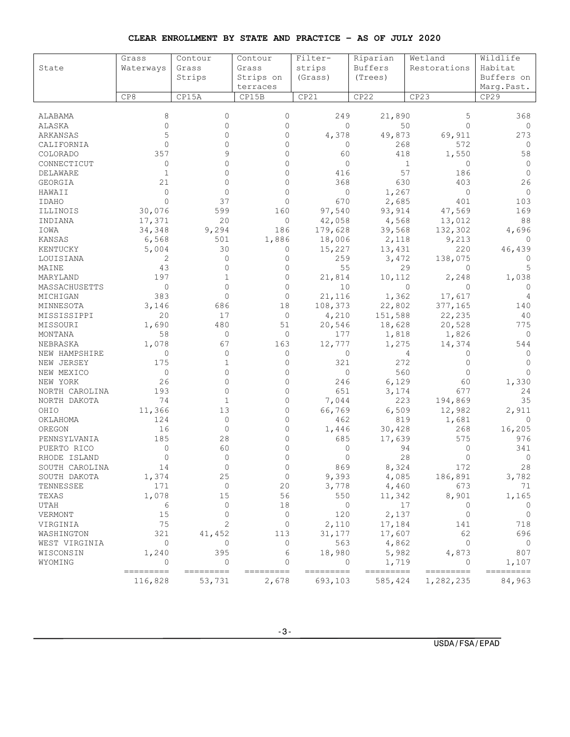| CLEAR ENROLLMENT BY STATE AND PRACTICE - AS OF JULY 2020 |  |  |  |  |  |
|----------------------------------------------------------|--|--|--|--|--|
|                                                          |  |  |  |  |  |

|                | Grass                   | Contour              | Contour                   | Filter-        | Riparian                | Wetland             | Wildlife           |
|----------------|-------------------------|----------------------|---------------------------|----------------|-------------------------|---------------------|--------------------|
| State          | Waterways               | Grass                | Grass                     | strips         | <b>Buffers</b>          | Restorations        | Habitat            |
|                |                         | Strips               | Strips on                 | (Grass)        | (Trees)                 |                     | Buffers on         |
|                |                         |                      | terraces                  |                |                         |                     | Marq.Past.         |
|                | CP8                     | CP15A                | CP15B                     | CP21           | CP22                    | CP23                | CP <sub>29</sub>   |
|                |                         |                      |                           |                |                         |                     |                    |
| ALABAMA        | 8                       | $\mathbf{0}$         | $\mathbf{0}$              | 249            | 21,890                  | 5                   | 368                |
| ALASKA         | $\mathbf{0}$            | $\mathbf{0}$         | $\mathbf{0}$              | $\mathbf 0$    | 50                      | $\Omega$            | 0                  |
| ARKANSAS       | 5                       | $\Omega$             | $\Omega$                  | 4,378          | 49,873                  | 69,911              | 273                |
| CALIFORNIA     | $\Omega$                | $\Omega$             | $\Omega$                  | 0              | 268                     | 572                 | 0                  |
| COLORADO       | 357                     |                      | $\Omega$                  | 60             | 418                     | 1,550               | 58                 |
| CONNECTICUT    | 0                       | U                    | $\Omega$                  | $\mathbf 0$    |                         | $\mathbf{1}$<br>0   | 0                  |
| DELAWARE       | $\mathbf{1}$            | $\Omega$             | $\Omega$                  | 416            | 57                      | 186                 | $\Omega$           |
| GEORGIA        | 21                      | 0                    | $\mathbf{0}$              | 368            | 630                     | 403                 | 26                 |
| HAWAII         | $\Omega$                | $\Omega$             | $\Omega$                  | $\mathbf 0$    | 1,267                   | $\circ$             | $\mathbf{0}$       |
| IDAHO          | $\Omega$                | 37                   | $\Omega$                  | 670            | 2,685                   | 401                 | 103                |
| ILLINOIS       | 30,076                  | 599                  | 160                       | 97,540         | 93,914                  | 47,569              | 169                |
| INDIANA        | 17,371                  | 20                   | $\circ$                   | 42,058         | 4,568                   | 13,012              | 88                 |
| IOWA           | 34,348                  | 9,294                | 186                       | 179,628        | 39,568                  | 132,302             | 4,696              |
| KANSAS         | 6,568                   | 501                  | 1,886                     | 18,006         | 2,118                   | 9,213               | 0                  |
| KENTUCKY       | 5,004                   | 30                   | 0                         | 15,227         | 13,431                  | 220                 | 46,439             |
| LOUISIANA      | 2                       | $\mathbf{0}$         | $\mathbf{0}$              | 259            | 3,472                   | 138,075             | $\Omega$           |
| MAINE          | 43                      | $\Omega$             | $\Omega$                  | 55             |                         | 29<br>$\Omega$      | 5                  |
| MARYLAND       | 197                     | 1                    | $\mathbf{0}$              | 21,814         | 10,112                  | 2,248               | 1,038              |
| MASSACHUSETTS  | $\circ$                 | $\Omega$             | $\Omega$                  | 10             |                         | $\circ$<br>$\Omega$ | $\Omega$           |
| MICHIGAN       | 383                     | $\Omega$             | $\Omega$                  | 21,116         | 1,362                   | 17,617              | 4                  |
| MINNESOTA      | 3,146                   | 686                  | 18                        | 108,373        | 22,802                  | 377,165             | 140                |
| MISSISSIPPI    | 20                      | 17                   | $\mathbf 0$               | 4,210          | 151,588                 | 22,235              | 40                 |
| MISSOURI       | 1,690                   | 480                  | 51                        | 20,546         | 18,628                  | 20,528              | 775                |
| MONTANA        | 58                      | $\mathbf{0}$         | $\mathbf{0}$              | 177            | 1,818                   | 1,826               | 0                  |
| NEBRASKA       | 1,078                   | 67                   | 163                       | 12,777         | 1,275                   | 14,374              | 544                |
| NEW HAMPSHIRE  | 0                       | $\Omega$             | 0                         | 0              |                         | 4<br>0              | 0                  |
| NEW JERSEY     | 175                     | $\mathbf{1}$         | $\mathbf{0}$              | 321            | 272                     | $\Omega$            | $\Omega$           |
| NEW MEXICO     | $\circ$                 | $\Omega$             | $\mathbf{0}$              | $\mathbf 0$    | 560                     | 0                   | $\Omega$           |
| NEW YORK       | 26                      | $\Omega$             | $\mathbf{0}$              | 246            | 6,129                   | 60                  | 1,330              |
| NORTH CAROLINA | 193                     | $\Omega$             | $\Omega$                  | 651            | 3,174                   | 677                 | 24                 |
| NORTH DAKOTA   | 74                      | 1                    | $\mathbf{0}$              | 7,044          | 223                     | 194,869             | 35                 |
| OHIO           | 11,366                  | 13                   | $\mathbf{0}$              | 66,769         | 6,509                   | 12,982              | 2,911              |
| OKLAHOMA       | 124                     | $\mathbf{0}$         | $\Omega$                  | 462            | 819                     | 1,681               | 0                  |
| OREGON         | 16                      | $\mathbf{0}$         | $\mathbf{0}$              | 1,446          | 30,428                  | 268                 | 16,205             |
| PENNSYLVANIA   | 185                     | 28                   | 0                         | 685            | 17,639                  | 575                 | 976                |
| PUERTO RICO    | 0                       | 60                   | $\Omega$                  | 0              | 94                      | 0                   | 341                |
| RHODE ISLAND   | $\circ$                 | $\mathbf{0}$         | $\Omega$                  | $\mathbf{0}$   | 28                      | 0                   | 0                  |
| SOUTH CAROLINA | 14                      | $\circ$              | 0                         | 869            | 8,324                   | 172                 | 28                 |
| SOUTH DAKOTA   | 1,374                   | 25                   | $\mathbf 0$               | 9,393          | 4,085                   | 186,891             | 3,782              |
| TENNESSEE      | 171                     | $\mathbf{0}$         | 20                        | 3,778          | 4,460                   | 673                 | 71                 |
| TEXAS          | 1,078                   | 15                   | 56                        | 550            | 11,342                  | 8,901               | 1,165              |
| UTAH           | 6                       | $\Omega$             | 18                        | $\circ$        | 17                      | 0                   | 0                  |
| VERMONT        | 15                      | $\Omega$             | $\circ$                   | 120            | 2,137                   | 0                   | $\circ$            |
| VIRGINIA       | 75                      | 2                    | 0                         | 2,110          | 17,184                  | 141                 | 718                |
| WASHINGTON     | 321                     | 41,452               | 113                       | 31,177         | 17,607                  | 62                  | 696                |
| WEST VIRGINIA  | 0                       | $\mathbf{0}$         | $\mathbf{0}$              | 563            | 4,862                   | $\mathbf{0}$        | $\overline{0}$     |
| WISCONSIN      | 1,240                   | 395                  | 6                         | 18,980         | 5,982                   | 4,873               | 807                |
| WYOMING        | $\circ$<br>$=$ ======== | $\circ$<br>========= | $\mathbf{0}$<br>--------- | 0<br>--------- | 1,719<br>$==$<br>====== | 0<br>---------      | 1,107<br>--------- |
|                | 116,828                 | 53,731               | 2,678                     | 693,103        | 585,424                 | 1,282,235           | 84,963             |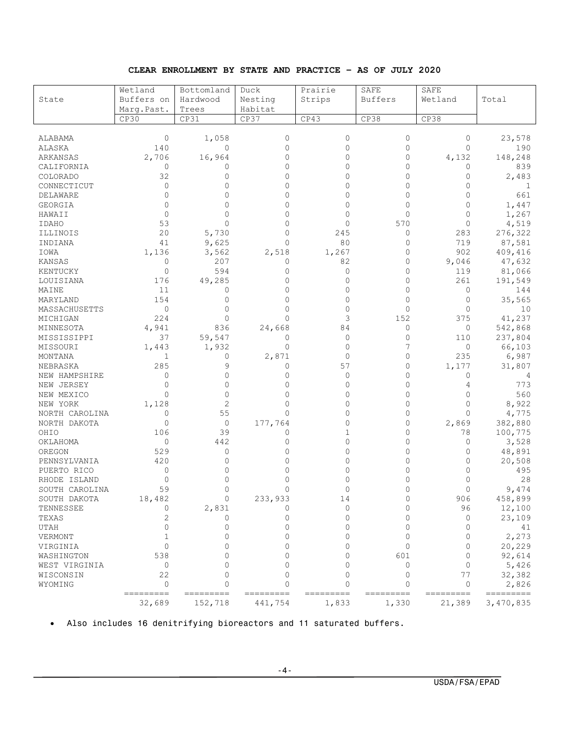#### **CLEAR ENROLLMENT BY STATE AND PRACTICE – AS OF JULY 2020**

| State          | Wetland<br>Buffers on | Bottomland<br>Hardwood | Duck<br>Nesting | Prairie      | SAFE<br><b>Buffers</b> | SAFE<br>Wetland | Total     |
|----------------|-----------------------|------------------------|-----------------|--------------|------------------------|-----------------|-----------|
|                |                       |                        |                 | Strips       |                        |                 |           |
|                | Marq.Past.            | Trees                  | Habitat         |              |                        |                 |           |
|                | CP30                  | CP31                   | CP37            | CP43         | CP38                   | CP38            |           |
| <b>ALABAMA</b> | $\circ$               | 1,058                  | $\circ$         | $\mathbf{0}$ | $\mathbf{0}$           | $\mathbf{0}$    | 23,578    |
| ALASKA         | 140                   | $\mathbf{0}$           | 0               | $\Omega$     | $\mathbf{0}$           | $\Omega$        | 190       |
|                | 2,706                 | 16,964                 | 0               | $\mathbf{0}$ | $\mathbf{0}$           | 4,132           | 148,248   |
| ARKANSAS       |                       |                        | $\mathbf{0}$    | 0            |                        |                 |           |
| CALIFORNIA     | 0                     | 0                      |                 |              | 0                      | 0               | 839       |
| COLORADO       | 32                    | 0                      | 0               | $\Omega$     | 0                      | 0               | 2,483     |
| CONNECTICUT    | $\circ$               | $\Omega$               | $\Omega$        | $\Omega$     | $\Omega$               | $\Omega$        | 1         |
| DELAWARE       | 0                     | 0                      | $\mathbf{0}$    | 0            | $\circ$                | $\circ$         | 661       |
| GEORGIA        | $\circ$               | 0                      | $\mathbf{0}$    | $\Omega$     | $\Omega$               | $\Omega$        | 1,447     |
| HAWAII         | $\Omega$              | 0                      | $\Omega$        | $\Omega$     | $\Omega$               | $\Omega$        | 1,267     |
| IDAHO          | 53                    | $\Omega$               | $\mathbf{0}$    | 0            | 570                    | $\circ$         | 4,519     |
| ILLINOIS       | 20                    | 5,730                  | $\Omega$        | 245          | 0                      | 283             | 276,322   |
| INDIANA        | 41                    | 9,625                  | $\Omega$        | 80           | 0                      | 719             | 87,581    |
| IOWA           | 1,136                 | 3,562                  | 2,518           | 1,267        | $\circ$                | 902             | 409,416   |
| <b>KANSAS</b>  | 0                     | 207                    | 0               | 82           | $\mathbf{0}$           | 9,046           | 47,632    |
| KENTUCKY       | $\circ$               | 594                    | $\Omega$        | 0            | 0                      | 119             | 81,066    |
| LOUISIANA      | 176                   | 49,285                 | $\Omega$        | 0            | $\circ$                | 261             | 191,549   |
| MAINE          | 11                    | 0                      | 0               | 0            | $\mathbf{0}$           | $\circ$         | 144       |
| MARYLAND       | 154                   | $\mathbf{0}$           | 0               | 0            | $\circ$                | $\mathbf{0}$    | 35,565    |
| MASSACHUSETTS  | $\circ$               | $\Omega$               | $\Omega$        | $\Omega$     | $\Omega$               | $\Omega$        | 10        |
| MICHIGAN       | 224                   | $\circ$                | $\Omega$        | 3            | 152                    | 375             | 41,237    |
| MINNESOTA      | 4,941                 | 836                    | 24,668          | 84           | $\mathbf{0}$           | $\circ$         | 542,868   |
| MISSISSIPPI    | 37                    | 59,547                 | 0               | $\mathbf{0}$ | $\circ$                | 110             | 237,804   |
|                |                       | 1,932                  | 0               | $\mathbf{0}$ | 7                      | 0               | 66,103    |
| MISSOURI       | 1,443                 |                        |                 | $\mathbf{0}$ | $\mathbf{0}$           | 235             |           |
| MONTANA        | 1                     | 0                      | 2,871           |              |                        |                 | 6,987     |
| NEBRASKA       | 285                   | 9                      | 0               | 57           | 0                      | 1,177           | 31,807    |
| NEW HAMPSHIRE  | 0                     | 0                      | 0               | 0            | 0                      | 0               | 4         |
| NEW JERSEY     | 0                     | 0                      | $\mathbf{0}$    | 0            | $\mathbf{0}$           | 4               | 773       |
| NEW MEXICO     | $\Omega$              | $\mathbf{0}$           | $\mathbf{0}$    | $\Omega$     | $\circ$                | $\Omega$        | 560       |
| NEW YORK       | 1,128                 | 2                      | $\Omega$        | $\Omega$     | $\Omega$               | $\Omega$        | 8,922     |
| NORTH CAROLINA | 0                     | 55                     | 0               | 0            | 0                      | $\Omega$        | 4,775     |
| NORTH DAKOTA   | $\circ$               | $\circ$                | 177,764         | 0            | 0                      | 2,869           | 382,880   |
| OHIO           | 106                   | 39                     | 0               | 1            | 0                      | 78              | 100,775   |
| OKLAHOMA       | $\circ$               | 442                    | 0               | $\Omega$     | $\circ$                | 0               | 3,528     |
| OREGON         | 529                   | 0                      | 0               | 0            | $\mathbf{0}$           | 0               | 48,891    |
| PENNSYLVANIA   | 420                   | 0                      | 0               | $\Omega$     | 0                      | 0               | 20,508    |
| PUERTO RICO    | $\circ$               | 0                      | $\mathbf{0}$    | $\Omega$     | $\circ$                | $\Omega$        | 495       |
| RHODE ISLAND   | $\circ$               | 0                      | $\mathbf{0}$    | 0            | 0                      | $\mathbf{0}$    | 28        |
| SOUTH CAROLINA | 59                    | 0                      | $\mathbf{0}$    | 0            | $\Omega$               | $\mathbf{0}$    | 9,474     |
| SOUTH DAKOTA   | 18,482                | $\circ$                | 233,933         | 14           | $\circ$                | 906             | 458,899   |
| TENNESSEE      | $\circ$               | 2,831                  | $\circ$         | $\mathbf 0$  | $\circ$                | 96              | 12,100    |
| TEXAS          | 2                     | 0                      | $\circ$         | $\mathbf{0}$ | $\mathbf{0}$           | $\circ$         | 23,109    |
| UTAH           | $\Omega$              | 0                      | $\Omega$        | $\Omega$     | $\Omega$               | $\Omega$        | 41        |
| <b>VERMONT</b> | $\mathbf 1$           | $\Omega$               | $\Omega$        | $\Omega$     | $\Omega$               | $\Omega$        | 2,273     |
| VIRGINIA       | $\Omega$              | 0                      | $\Omega$        | $\Omega$     | $\Omega$               | $\circ$         | 20,229    |
| WASHINGTON     | 538                   | 0                      | $\Omega$        | $\Omega$     | 601                    | 0               | 92,614    |
| WEST VIRGINIA  | 0                     | 0                      | $\Omega$        | $\Omega$     | $\Omega$               | $\circ$         | 5,426     |
| WISCONSIN      | 22                    | 0                      | $\Omega$        | 0            | 0                      | 77              | 32,382    |
| WYOMING        | $\circ$               | 0                      | $\Omega$        | $\Omega$     | $\Omega$               | $\circ$         | 2,826     |
|                | ---------             | ---------              | =========       | ---------    | =========              | =========       | --------- |
|                | 32,689                | 152,718                | 441,754         | 1,833        | 1,330                  | 21,389          | 3,470,835 |

• Also includes 16 denitrifying bioreactors and 11 saturated buffers.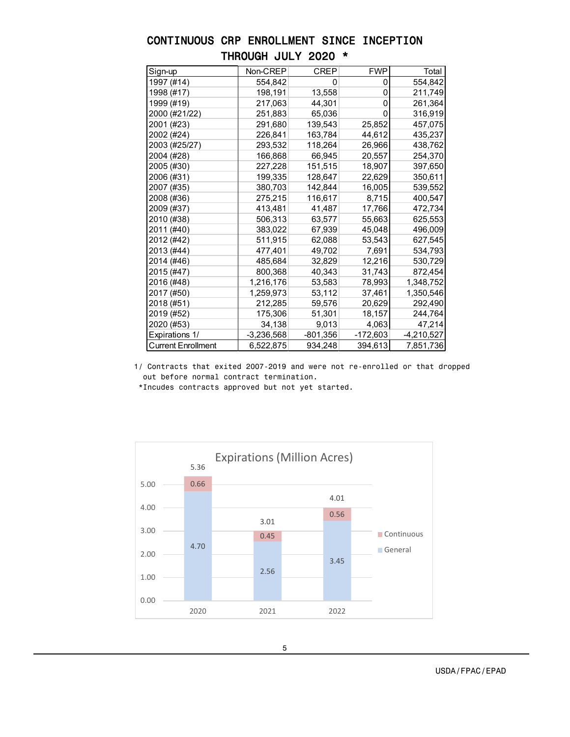| CONTINUOUS CRP ENROLLMENT SINCE INCEPTION |  |                     |  |  |
|-------------------------------------------|--|---------------------|--|--|
|                                           |  | THROUGH JULY 2020 * |  |  |

| Sign-up                   | Non-CREP     | <b>CREP</b> | <b>FWP</b> | Total        |
|---------------------------|--------------|-------------|------------|--------------|
| 1997 (#14)                | 554,842      | 0           | 0          | 554,842      |
| 1998 (#17)                | 198,191      | 13,558      | 0          | 211,749      |
| 1999 (#19)                | 217,063      | 44,301      | 0          | 261,364      |
| 2000 (#21/22)             | 251,883      | 65,036      | 0          | 316,919      |
| 2001 (#23)                | 291,680      | 139,543     | 25,852     | 457,075      |
| 2002 (#24)                | 226,841      | 163,784     | 44,612     | 435,237      |
| 2003 (#25/27)             | 293,532      | 118,264     | 26,966     | 438,762      |
| 2004 (#28)                | 166,868      | 66,945      | 20,557     | 254,370      |
| 2005 (#30)                | 227,228      | 151,515     | 18,907     | 397,650      |
| 2006 (#31)                | 199,335      | 128,647     | 22,629     | 350,611      |
| 2007 (#35)                | 380,703      | 142,844     | 16,005     | 539,552      |
| 2008 (#36)                | 275,215      | 116,617     | 8,715      | 400,547      |
| 2009 (#37)                | 413,481      | 41,487      | 17,766     | 472,734      |
| 2010 (#38)                | 506,313      | 63,577      | 55,663     | 625,553      |
| 2011 (#40)                | 383,022      | 67,939      | 45,048     | 496,009      |
| 2012 (#42)                | 511,915      | 62,088      | 53,543     | 627,545      |
| 2013 (#44)                | 477,401      | 49,702      | 7,691      | 534,793      |
| 2014 (#46)                | 485,684      | 32,829      | 12,216     | 530,729      |
| 2015 (#47)                | 800,368      | 40,343      | 31,743     | 872,454      |
| 2016 (#48)                | 1,216,176    | 53,583      | 78,993     | 1,348,752    |
| 2017 (#50)                | 1,259,973    | 53,112      | 37,461     | 1,350,546    |
| 2018 (#51)                | 212,285      | 59,576      | 20,629     | 292,490      |
| 2019 (#52)                | 175,306      | 51,301      | 18,157     | 244,764      |
| 2020 (#53)                | 34,138       | 9,013       | 4,063      | 47,214       |
| Expirations 1/            | $-3,236,568$ | $-801,356$  | -172,603   | $-4,210,527$ |
| <b>Current Enrollment</b> | 6,522,875    | 934,248     | 394,613    | 7,851,736    |

1/ Contracts that exited 2007-2019 and were not re-enrolled or that dropped out before normal contract termination.

\*Incudes contracts approved but not yet started.

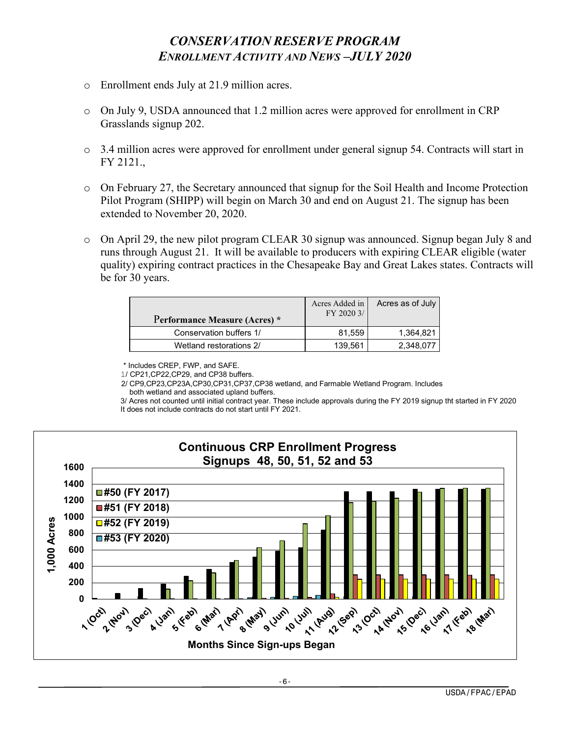# *CONSERVATION RESERVE PROGRAM ENROLLMENT ACTIVITY AND NEWS –JULY 2020*

- o Enrollment ends July at 21.9 million acres.
- o On July 9, USDA announced that 1.2 million acres were approved for enrollment in CRP Grasslands signup 202.
- o 3.4 million acres were approved for enrollment under general signup 54. Contracts will start in FY 2121.,
- o On February 27, the Secretary announced that signup for the Soil Health and Income Protection Pilot Program (SHIPP) will begin on March 30 and end on August 21. The signup has been extended to November 20, 2020.
- o On April 29, the new pilot program CLEAR 30 signup was announced. Signup began July 8 and runs through August 21. It will be available to producers with expiring CLEAR eligible (water quality) expiring contract practices in the Chesapeake Bay and Great Lakes states. Contracts will be for 30 years.

| Performance Measure (Acres) * | Acres Added in<br>FY 2020 3/ | Acres as of July |
|-------------------------------|------------------------------|------------------|
| Conservation buffers 1/       | 81.559                       | 1.364.821        |
| Wetland restorations 2/       | 139.561                      | 2.348.077        |

\* Includes CREP, FWP, and SAFE.

1/ CP21,CP22,CP29, and CP38 buffers.

 2/ CP9,CP23,CP23A,CP30,CP31,CP37,CP38 wetland, and Farmable Wetland Program. Includes both wetland and associated upland buffers.

3/ Acres not counted until initial contract year. These include approvals during the FY 2019 signup tht started in FY 2020 It does not include contracts do not start until FY 2021.

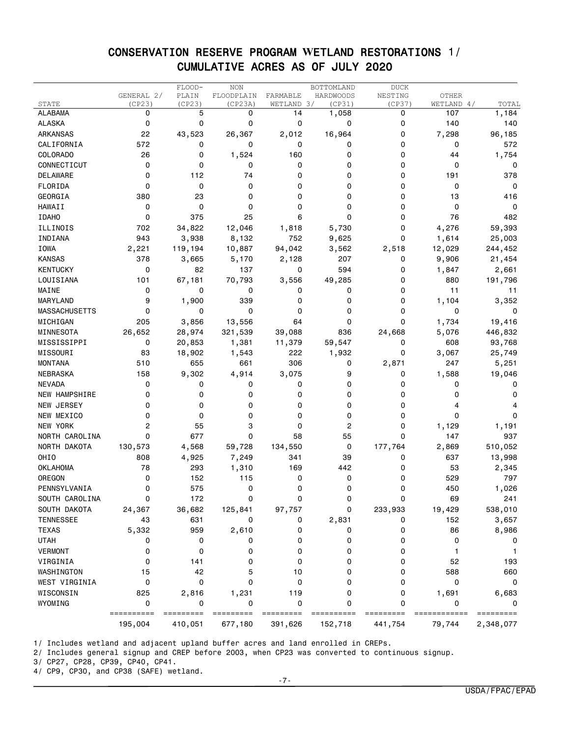### CONSERVATION RESERVE PROGRAM **W**ETLAND RESTORATIONS 1/ CUMULATIVE ACRES AS OF JULY 2020

|                      |            | FLOOD-     | <b>NON</b>  |             | BOTTOMLAND | <b>DUCK</b> |            |            |
|----------------------|------------|------------|-------------|-------------|------------|-------------|------------|------------|
|                      | GENERAL 2/ | PLAIN      | FLOODPLAIN  | FARMABLE    | HARDWOODS  | NESTING     | OTHER      |            |
| STATE                | (CP23)     | (CP23)     | (CP23A)     | WETLAND 3/  | (CP31)     | (CP37)      | WETLAND 4/ | TOTAL      |
| <b>ALABAMA</b>       | 0          | 5          | 0           | 14          | 1,058      | 0           | 107        | 1,184      |
| <b>ALASKA</b>        | 0          | 0          | 0           | 0           | 0          | 0           | 140        | 140        |
| <b>ARKANSAS</b>      | 22         | 43,523     | 26,367      | 2,012       | 16,964     | 0           | 7,298      | 96,185     |
| CALIFORNIA           | 572        | 0          | 0           | 0           | 0          | 0           | 0          | 572        |
| <b>COLORADO</b>      | 26         | 0          | 1,524       | 160         | 0          | 0           | 44         | 1,754      |
| CONNECTICUT          | 0          | 0          | 0           | 0           | 0          | 0           | 0          | 0          |
| DELAWARE             | 0          | 112        | 74          | 0           | 0          | 0           | 191        | 378        |
| FLORIDA              | 0          | 0          | 0           | 0           | 0          | 0           | 0          | 0          |
| <b>GEORGIA</b>       | 380        | 23         | 0           | 0           | 0          | 0           | 13         | 416        |
| <b>HAWAII</b>        | 0          | 0          | 0           | 0           | 0          | 0           | 0          | 0          |
| <b>IDAHO</b>         | 0          | 375        | 25          | 6           | 0          | 0           | 76         | 482        |
| ILLINOIS             | 702        | 34,822     | 12,046      | 1,818       | 5,730      | 0           | 4,276      | 59,393     |
| INDIANA              | 943        | 3,938      | 8,132       | 752         | 9,625      | 0           | 1,614      | 25,003     |
| <b>IOWA</b>          | 2,221      | 119,194    | 10,887      | 94,042      | 3,562      | 2,518       | 12,029     | 244,452    |
| <b>KANSAS</b>        | 378        | 3,665      | 5,170       | 2,128       | 207        | 0           | 9,906      | 21,454     |
| <b>KENTUCKY</b>      | 0          | 82         | 137         | 0           | 594        | 0           | 1,847      | 2,661      |
| LOUISIANA            | 101        | 67,181     | 70,793      | 3,556       | 49,285     | 0           | 880        | 191,796    |
| MAINE                | 0          | 0          | 0           | 0           | 0          | 0           | 11         | 11         |
| MARYLAND             | 9          | 1,900      | 339         | 0           | 0          | 0           | 1,104      | 3,352      |
| <b>MASSACHUSETTS</b> | 0          | 0          | 0           | $\mathbf 0$ | 0          | 0           | 0          | 0          |
| MICHIGAN             | 205        | 3,856      | 13,556      | 64          | 0          | 0           | 1,734      | 19,416     |
| MINNESOTA            | 26,652     | 28,974     | 321,539     | 39,088      | 836        | 24,668      | 5,076      | 446,832    |
| MISSISSIPPI          | 0          | 20,853     | 1,381       | 11,379      | 59,547     | 0           | 608        | 93,768     |
| MISSOURI             | 83         | 18,902     | 1,543       | 222         | 1,932      | 0           | 3,067      | 25,749     |
| <b>MONTANA</b>       | 510        | 655        | 661         | 306         | 0          | 2,871       | 247        | 5,251      |
| <b>NEBRASKA</b>      | 158        | 9,302      | 4,914       | 3,075       | 9          | 0           | 1,588      | 19,046     |
| <b>NEVADA</b>        | 0          | 0          | 0           | 0           | 0          | 0           | 0          | 0          |
| NEW HAMPSHIRE        | 0          | 0          | 0           | 0           | 0          | 0           | 0          | $\Omega$   |
| <b>NEW JERSEY</b>    | 0          | 0          | 0           | 0           | 0          | 0           | 4          |            |
| NEW MEXICO           | 0          | 0          | 0           | 0           | 0          | 0           | 0          | 0          |
| NEW YORK             | 2          | 55         | 3           | 0           | 2          | 0           | 1,129      | 1,191      |
| NORTH CAROLINA       | 0          | 677        | $\mathbf 0$ | 58          | 55         | 0           | 147        | 937        |
| NORTH DAKOTA         | 130,573    | 4,568      | 59,728      | 134,550     | 0          | 177,764     | 2,869      | 510,052    |
| OHIO                 | 808        | 4,925      | 7,249       | 341         | 39         | 0           | 637        | 13,998     |
| <b>OKLAHOMA</b>      | 78         | 293        | 1,310       | 169         | 442        | 0           | 53         | 2,345      |
| OREGON               | 0          | 152        | 115         | 0           | 0          | 0           | 529        | 797        |
| PENNSYLVANIA         | 0          | 575        | 0           | 0           | 0          | 0           | 450        | 1,026      |
| SOUTH CAROLINA       | 0          | 172        | 0           | 0           | 0          | 0           | 69         | 241        |
| SOUTH DAKOTA         | 24,367     | 36,682     | 125,841     | 97,757      | 0          | 233,933     | 19,429     | 538,010    |
| TENNESSEE            | 43         | 631        | 0           | 0           | 2,831      | 0           | 152        | 3,657      |
| <b>TEXAS</b>         | 5,332      | 959        | 2,610       | 0           | 0          | 0           | 86         | 8,986      |
| <b>UTAH</b>          | 0          | 0          | 0           | 0           | 0          | 0           | 0          | 0          |
| <b>VERMONT</b>       | 0          | 0          | 0           | 0           | 0          | 0           | 1          | -1         |
| VIRGINIA             | 0          | 141        | 0           | 0           | 0          | 0           | 52         | 193        |
| WASHINGTON           | 15         | 42         | 5           | 10          | 0          | 0           | 588        | 660        |
| WEST VIRGINIA        | 0          | 0          | 0           | 0           | 0          | 0           | 0          | 0          |
|                      |            |            |             |             |            |             |            |            |
| WISCONSIN<br>WYOMING | 825<br>0   | 2,816<br>0 | 1,231<br>0  | 119<br>0    | 0<br>0     | 0<br>0      | 1,691<br>0 | 6,683<br>0 |
|                      | ========== |            |             |             |            |             |            |            |
|                      | 195,004    | 410,051    | 677,180     | 391,626     | 152,718    | 441,754     | 79,744     | 2,348,077  |

1/ Includes wetland and adjacent upland buffer acres and land enrolled in CREPs.

2/ Includes general signup and CREP before 2003, when CP23 was converted to continuous signup.

3/ CP27, CP28, CP39, CP40, CP41.

4/ CP9, CP30, and CP38 (SAFE) wetland.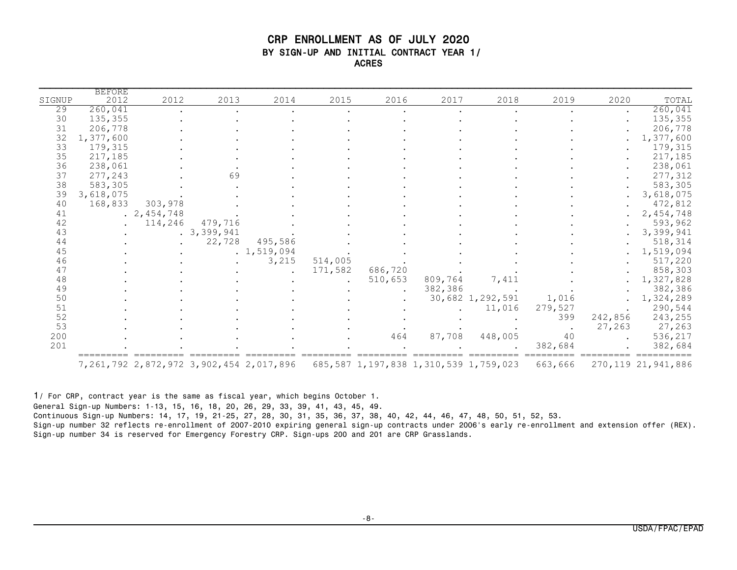### CRP ENROLLMENT AS OF JULY 2020 BY SIGN-UP AND INITIAL CONTRACT YEAR 1/ ACRES

| SIGNUP   | <b>BEFORE</b><br>2012 | 2012             | 2013       | 2014                                            | 2015    | 2016                                         | 2017    | 2018             | 2019    | 2020                 | TOTAL                 |
|----------|-----------------------|------------------|------------|-------------------------------------------------|---------|----------------------------------------------|---------|------------------|---------|----------------------|-----------------------|
| 29       | 260,041               |                  |            |                                                 |         |                                              |         |                  |         |                      | 260,041               |
| 30       | 135,355               |                  |            |                                                 |         |                                              |         |                  |         | $\ddot{\phantom{0}}$ | 135,355               |
| 31       | 206,778               |                  |            |                                                 |         |                                              |         |                  |         |                      | 206,778               |
| 32       | 1,377,600             |                  |            |                                                 |         |                                              |         |                  |         |                      | 1,377,600             |
| 33       | 179,315               |                  |            |                                                 |         |                                              |         |                  |         |                      | 179,315               |
|          | 217,185               |                  |            |                                                 |         |                                              |         |                  |         |                      | 217,185               |
| 35<br>36 | 238,061               |                  |            |                                                 |         |                                              |         |                  |         |                      |                       |
|          |                       |                  |            |                                                 |         |                                              |         |                  |         |                      | 238,061               |
| 37       | 277,243               |                  | 69         |                                                 |         |                                              |         |                  |         |                      | 277,312               |
| 38       | 583,305               |                  |            |                                                 |         |                                              |         |                  |         |                      | 583,305               |
| 39       | 3,618,075             |                  |            |                                                 |         |                                              |         |                  |         |                      | 3,618,075             |
| 40       | 168,833               | 303,978          |            |                                                 |         |                                              |         |                  |         |                      | 472,812               |
| 41       |                       | $. \; 2,454,748$ |            |                                                 |         |                                              |         |                  |         |                      | 2,454,748             |
| 42       |                       | 114,246          | 479,716    |                                                 |         |                                              |         |                  |         |                      | 593,962               |
| 43       |                       |                  | .3,399,941 |                                                 |         |                                              |         |                  |         |                      | 3,399,941             |
| 44       |                       |                  | 22,728     | 495,586                                         |         |                                              |         |                  |         |                      | 518,314               |
| 45       |                       |                  |            | .1, 519, 094                                    |         |                                              |         |                  |         |                      | 1,519,094             |
| 46       |                       |                  |            | 3,215                                           | 514,005 |                                              |         |                  |         |                      | 517,220               |
| 47       |                       |                  |            | $\ddot{\phantom{a}}$                            | 171,582 | 686,720                                      |         |                  |         |                      | 858,303               |
| 48       |                       |                  |            |                                                 |         | 510,653                                      | 809,764 | 7,411            |         |                      | 1,327,828             |
| 49       |                       |                  |            |                                                 |         |                                              | 382,386 |                  |         |                      | 382,386               |
| 50       |                       |                  |            |                                                 |         |                                              |         | 30,682 1,292,591 | 1,016   |                      | 1,324,289             |
| 51       |                       |                  |            |                                                 |         |                                              |         | 11,016           | 279,527 |                      | 290,544               |
| 52       |                       |                  |            |                                                 |         |                                              |         |                  | 399     | 242,856              | 243,255               |
| 53       |                       |                  |            |                                                 |         |                                              |         |                  |         | 27,263               | 27,263                |
| 200      |                       |                  |            |                                                 |         | 464                                          | 87,708  | 448,005          | 40      |                      | 536,217               |
| 201      |                       |                  |            |                                                 |         |                                              |         |                  | 382,684 |                      | 382,684               |
|          |                       |                  |            | 7, 261, 792 2, 872, 972 3, 902, 454 2, 017, 896 |         | 685, 587 1, 197, 838 1, 310, 539 1, 759, 023 |         |                  | 663,666 |                      | 270, 119 21, 941, 886 |

1/ For CRP, contract year is the same as fiscal year, which begins October 1.

General Sign-up Numbers: 1-13, 15, 16, 18, 20, 26, 29, 33, 39, 41, 43, 45, 49.

Continuous Sign-up Numbers: 14, 17, 19, 21-25, 27, 28, 30, 31, 35, 36, 37, 38, 40, 42, 44, 46, 47, 48, 50, 51, 52, 53.

Sign-up number 32 reflects re-enrollment of 2007-2010 expiring general sign-up contracts under 2006's early re-enrollment and extension offer (REX). Sign-up number 34 is reserved for Emergency Forestry CRP. Sign-ups 200 and 201 are CRP Grasslands.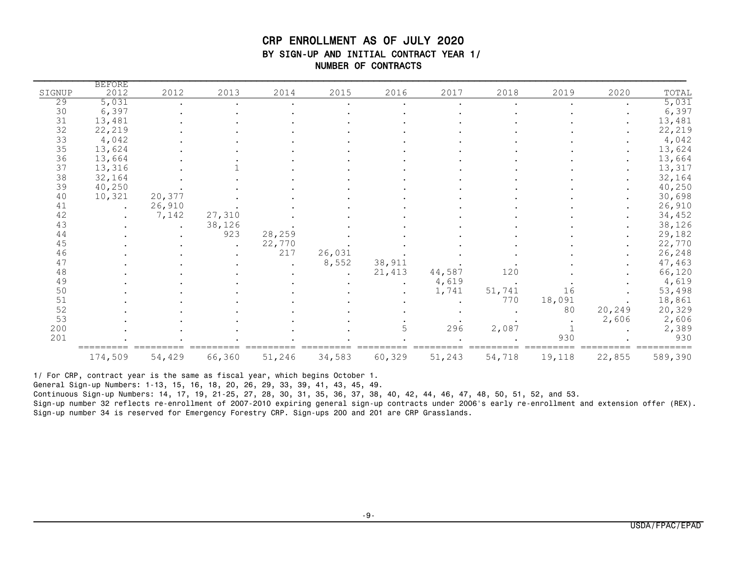### CRP ENROLLMENT AS OF JULY 2020 BY SIGN-UP AND INITIAL CONTRACT YEAR 1/ NUMBER OF CONTRACTS

| SIGNUP | <b>BEFORE</b><br>2012 | 2012   | 2013   | 2014   | 2015   | 2016   | 2017   | 2018   | 2019   | 2020   | TOTAL   |
|--------|-----------------------|--------|--------|--------|--------|--------|--------|--------|--------|--------|---------|
| 29     | 5,031                 |        |        |        |        |        |        |        |        |        | 5,031   |
| 30     | 6,397                 |        |        |        |        |        |        |        |        |        | 6,397   |
| 31     | 13,481                |        |        |        |        |        |        |        |        |        | 13,481  |
| 32     | 22,219                |        |        |        |        |        |        |        |        |        | 22,219  |
| 33     | 4,042                 |        |        |        |        |        |        |        |        |        | 4,042   |
| 35     | 13,624                |        |        |        |        |        |        |        |        |        | 13,624  |
| 36     | 13,664                |        |        |        |        |        |        |        |        |        | 13,664  |
| 37     | 13,316                |        |        |        |        |        |        |        |        |        | 13,317  |
| 38     | 32,164                |        |        |        |        |        |        |        |        |        | 32,164  |
| 39     | 40,250                |        |        |        |        |        |        |        |        |        | 40,250  |
| 40     | 10,321                | 20,377 |        |        |        |        |        |        |        |        | 30,698  |
| 41     |                       | 26,910 |        |        |        |        |        |        |        |        | 26,910  |
| 42     |                       | 7,142  | 27,310 |        |        |        |        |        |        |        | 34,452  |
| 43     |                       |        | 38,126 |        |        |        |        |        |        |        | 38,126  |
| 44     |                       |        | 923    | 28,259 |        |        |        |        |        |        | 29,182  |
| 45     |                       |        |        | 22,770 |        |        |        |        |        |        | 22,770  |
| 46     |                       |        |        | 217    | 26,031 |        |        |        |        |        | 26,248  |
| 47     |                       |        |        |        | 8,552  | 38,911 |        |        |        |        | 47,463  |
| 48     |                       |        |        |        |        | 21,413 | 44,587 | 120    |        |        | 66,120  |
| 49     |                       |        |        |        |        |        | 4,619  |        |        |        | 4,619   |
| 50     |                       |        |        |        |        |        | 1,741  | 51,741 | 16     |        | 53,498  |
| 51     |                       |        |        |        |        |        |        | 770    | 18,091 |        | 18,861  |
| 52     |                       |        |        |        |        |        |        |        | 80     | 20,249 | 20,329  |
| 53     |                       |        |        |        |        |        |        |        |        | 2,606  | 2,606   |
| 200    |                       |        |        |        |        | 5      | 296    | 2,087  |        |        | 2,389   |
| 201    |                       |        |        |        |        |        |        |        | 930    |        | 930     |
|        | 174,509               | 54,429 | 66,360 | 51,246 | 34,583 | 60,329 | 51,243 | 54,718 | 19,118 | 22,855 | 589,390 |

1/ For CRP, contract year is the same as fiscal year, which begins October 1.

General Sign-up Numbers: 1-13, 15, 16, 18, 20, 26, 29, 33, 39, 41, 43, 45, 49.

Continuous Sign-up Numbers: 14, 17, 19, 21-25, 27, 28, 30, 31, 35, 36, 37, 38, 40, 42, 44, 46, 47, 48, 50, 51, 52, and 53.

Sign-up number 32 reflects re-enrollment of 2007-2010 expiring general sign-up contracts under 2006's early re-enrollment and extension offer (REX). Sign-up number 34 is reserved for Emergency Forestry CRP. Sign-ups 200 and 201 are CRP Grasslands.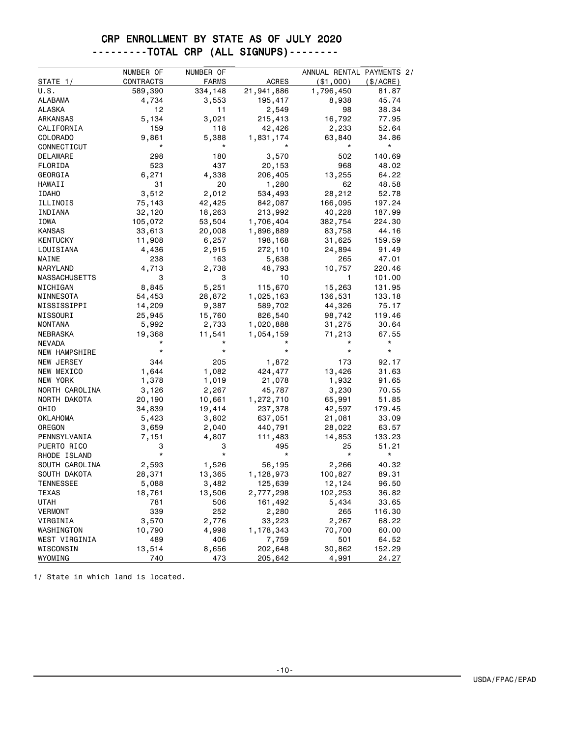### CRP ENROLLMENT BY STATE AS OF JULY 2020 ---------TOTAL CRP (ALL SIGNUPS)--------

|                      | NUMBER OF    | NUMBER OF    |                 | ANNUAL RENTAL PAYMENTS 2/ |            |
|----------------------|--------------|--------------|-----------------|---------------------------|------------|
| STATE 1/             | CONTRACTS    | <b>FARMS</b> | <b>ACRES</b>    | ( \$1,000)                | (S/ACRE)   |
| U.S.                 | 589,390      | 334,148      | 21,941,886      | 1,796,450                 | 81.87      |
| ALABAMA              | 4,734        | 3,553        | 195,417         | 8,938                     | 45.74      |
| ALASKA               | 12           | 11           | 2,549           | 98                        | 38.34      |
| ARKANSAS             | 5,134        | 3,021        | 215,413         | 16,792                    | 77.95      |
| CALIFORNIA           | 159          | 118          | 42,426          | 2,233                     | 52.64      |
| COLORADO             | 9,861        | 5,388        | 1,831,174       | 63,840                    | 34.86      |
| CONNECTICUT          | *            | *            |                 | *                         | $^{\star}$ |
| DELAWARE             | 298          | 180          | 3,570           | 502                       | 140.69     |
| FLORIDA              | 523          | 437          | 20,153          | 968                       | 48.02      |
| GEORGIA              | 6,271        | 4,338        | 206,405         | 13,255                    | 64.22      |
| <b>HAWAII</b>        | 31           | 20           | 1,280           | 62                        | 48.58      |
| <b>IDAHO</b>         | 3,512        | 2,012        | 534,493         | 28,212                    | 52.78      |
| ILLINOIS             | 75,143       | 42,425       | 842,087         | 166,095                   | 197.24     |
| INDIANA              | 32,120       | 18,263       | 213,992         | 40,228                    | 187.99     |
| IOWA                 | 105,072      | 53,504       | 1,706,404       | 382,754                   | 224.30     |
| <b>KANSAS</b>        | 33,613       | 20,008       | 1,896,889       | 83,758                    | 44.16      |
| <b>KENTUCKY</b>      | 11,908       | 6,257        | 198,168         | 31,625                    | 159.59     |
| LOUISIANA            | 4,436        | 2,915        | 272,110         | 24,894                    | 91.49      |
| MAINE                | 238          | 163          | 5,638           | 265                       | 47.01      |
| MARYLAND             | 4,713        | 2,738        | 48,793          | 10,757                    | 220.46     |
| <b>MASSACHUSETTS</b> | 3            | 3            | 10              | 1                         | 101.00     |
| MICHIGAN             | 8,845        | 5,251        | 115,670         | 15,263                    | 131.95     |
| MINNESOTA            | 54,453       | 28,872       | 1,025,163       | 136,531                   | 133.18     |
| MISSISSIPPI          | 14,209       | 9,387        | 589,702         | 44,326                    | 75.17      |
| MISSOURI             | 25,945       | 15,760       | 826,540         | 98,742                    | 119.46     |
| MONTANA              | 5,992        | 2,733        | 1,020,888       | 31,275                    | 30.64      |
| NEBRASKA             | 19,368       | 11,541       | 1,054,159       | 71,213                    | 67.55      |
| <b>NEVADA</b>        |              |              |                 |                           | $^\star$   |
| NEW HAMPSHIRE        | $^\star$     | $^\star$     | $\star$         | *                         | $^\star$   |
| NEW JERSEY           | 344          | 205          | 1,872           | 173                       | 92.17      |
| NEW MEXICO           | 1,644        | 1,082        | 424,477         | 13,426                    | 31.63      |
| NEW YORK             | 1,378        | 1,019        | 21,078          | 1,932                     | 91.65      |
| NORTH CAROLINA       | 3,126        | 2,267        | 45,787          | 3,230                     | 70.55      |
| NORTH DAKOTA         | 20,190       | 10,661       | 1,272,710       | 65,991                    | 51.85      |
| OHIO                 | 34,839       | 19,414       | 237,378         | 42,597                    | 179.45     |
| OKLAHOMA             | 5,423        | 3,802        | 637,051         | 21,081                    | 33.09      |
| OREGON               | 3,659        | 2,040        | 440,791         | 28,022                    | 63.57      |
| PENNSYLVANIA         | 7,151        | 4,807        | 111,483         | 14,853                    | 133.23     |
| PUERTO RICO          | 3<br>$\star$ | З<br>*       | 495<br>$^\star$ | 25<br>$^\star$            | 51.21      |
| RHODE ISLAND         |              |              |                 |                           | $^\star$   |
| SOUTH CAROLINA       | 2,593        | 1,526        | 56,195          | 2,266                     | 40.32      |
| SOUTH DAKOTA         | 28,371       | 13,365       | 1,128,973       | 100,827                   | 89.31      |
| <b>TENNESSEE</b>     | 5,088        | 3,482        | 125,639         | 12,124                    | 96.50      |
| <b>TEXAS</b>         | 18,761       | 13,506       | 2,777,298       | 102,253                   | 36.82      |
| <b>UTAH</b>          | 781          | 506          | 161,492         | 5,434                     | 33.65      |
| <b>VERMONT</b>       | 339          | 252          | 2,280           | 265                       | 116.30     |
| VIRGINIA             | 3,570        | 2,776        | 33,223          | 2,267                     | 68.22      |
| WASHINGTON           | 10,790       | 4,998        | 1,178,343       | 70,700                    | 60.00      |
| WEST VIRGINIA        | 489          | 406          | 7,759           | 501                       | 64.52      |
| WISCONSIN            | 13,514       | 8,656        | 202,648         | 30,862                    | 152.29     |
| WYOMING              | 740          | 473          | 205,642         | 4,991                     | 24.27      |

1/ State in which land is located.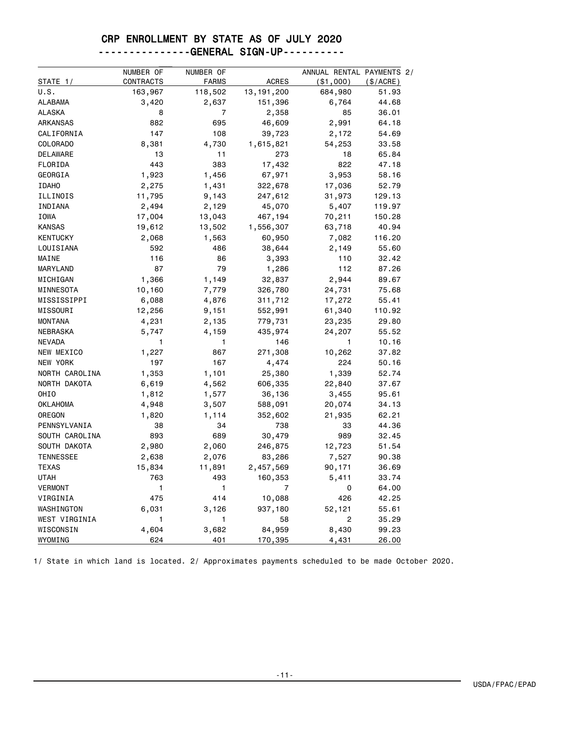### CRP ENROLLMENT BY STATE AS OF JULY 2020

### ---------------GENERAL SIGN-UP----------

|                  | NUMBER OF | NUMBER OF    |              | ANNUAL RENTAL PAYMENTS 2/ |           |
|------------------|-----------|--------------|--------------|---------------------------|-----------|
| STATE 1/         | CONTRACTS | <b>FARMS</b> | <b>ACRES</b> | $($ \$1,000 $)$           | (\$/ACRE) |
| U.S.             | 163,967   | 118,502      | 13, 191, 200 | 684,980                   | 51.93     |
| <b>ALABAMA</b>   | 3,420     | 2,637        | 151,396      | 6,764                     | 44.68     |
| <b>ALASKA</b>    | 8         | 7            | 2,358        | 85                        | 36.01     |
| <b>ARKANSAS</b>  | 882       | 695          | 46,609       | 2,991                     | 64.18     |
| CALIFORNIA       | 147       | 108          | 39,723       | 2,172                     | 54.69     |
| <b>COLORADO</b>  | 8,381     | 4,730        | 1,615,821    | 54,253                    | 33.58     |
| <b>DELAWARE</b>  | 13        | 11           | 273          | 18                        | 65.84     |
| FLORIDA          | 443       | 383          | 17,432       | 822                       | 47.18     |
| GEORGIA          | 1,923     | 1,456        | 67,971       | 3,953                     | 58.16     |
| <b>IDAHO</b>     | 2,275     | 1,431        | 322,678      | 17,036                    | 52.79     |
| ILLINOIS         | 11,795    | 9,143        | 247,612      | 31,973                    | 129.13    |
| INDIANA          | 2,494     | 2,129        | 45,070       | 5,407                     | 119.97    |
| IOWA             | 17,004    | 13,043       | 467,194      | 70,211                    | 150.28    |
| <b>KANSAS</b>    | 19,612    | 13,502       | 1,556,307    | 63,718                    | 40.94     |
| <b>KENTUCKY</b>  | 2,068     | 1,563        | 60,950       | 7,082                     | 116.20    |
| LOUISIANA        | 592       | 486          | 38,644       | 2,149                     | 55.60     |
| MAINE            | 116       | 86           | 3,393        | 110                       | 32.42     |
| MARYLAND         | 87        | 79           | 1,286        | 112                       | 87.26     |
| MICHIGAN         | 1,366     | 1,149        | 32,837       | 2,944                     | 89.67     |
| MINNESOTA        | 10,160    | 7,779        | 326,780      | 24,731                    | 75.68     |
| MISSISSIPPI      | 6,088     | 4,876        | 311,712      | 17,272                    | 55.41     |
| MISSOURI         | 12,256    | 9,151        | 552,991      | 61,340                    | 110.92    |
| <b>MONTANA</b>   | 4,231     | 2,135        | 779,731      | 23,235                    | 29.80     |
| <b>NEBRASKA</b>  | 5,747     | 4,159        | 435,974      | 24,207                    | 55.52     |
| <b>NEVADA</b>    | 1         | 1            | 146          | 1                         | 10.16     |
| NEW MEXICO       | 1,227     | 867          | 271,308      | 10,262                    | 37.82     |
| NEW YORK         | 197       | 167          | 4,474        | 224                       | 50.16     |
| NORTH CAROLINA   | 1,353     | 1,101        | 25,380       | 1,339                     | 52.74     |
| NORTH DAKOTA     | 6,619     | 4,562        | 606,335      | 22,840                    | 37.67     |
| OHIO             | 1,812     | 1,577        | 36,136       | 3,455                     | 95.61     |
| OKLAHOMA         | 4,948     | 3,507        | 588,091      | 20,074                    | 34.13     |
| OREGON           | 1,820     | 1,114        | 352,602      | 21,935                    | 62.21     |
| PENNSYLVANIA     | 38        | 34           | 738          | 33                        | 44.36     |
| SOUTH CAROLINA   | 893       | 689          | 30,479       | 989                       | 32.45     |
| SOUTH DAKOTA     | 2,980     | 2,060        | 246,875      | 12,723                    | 51.54     |
| <b>TENNESSEE</b> | 2,638     | 2,076        | 83,286       | 7,527                     | 90.38     |
| <b>TEXAS</b>     | 15,834    | 11,891       | 2,457,569    | 90,171                    | 36.69     |
| <b>UTAH</b>      | 763       | 493          | 160,353      | 5,411                     | 33.74     |
| <b>VERMONT</b>   | 1         | 1            | 7            | 0                         | 64.00     |
| VIRGINIA         | 475       | 414          | 10,088       | 426                       | 42.25     |
| WASHINGTON       | 6,031     | 3,126        | 937,180      | 52,121                    | 55.61     |
| WEST VIRGINIA    | 1         | 1            | 58           | 2                         | 35.29     |
| WISCONSIN        | 4,604     | 3,682        | 84,959       | 8,430                     | 99.23     |
| WYOMING          | 624       | 401          | 170,395      | 4,431                     | 26.00     |

1/ State in which land is located. 2/ Approximates payments scheduled to be made October 2020.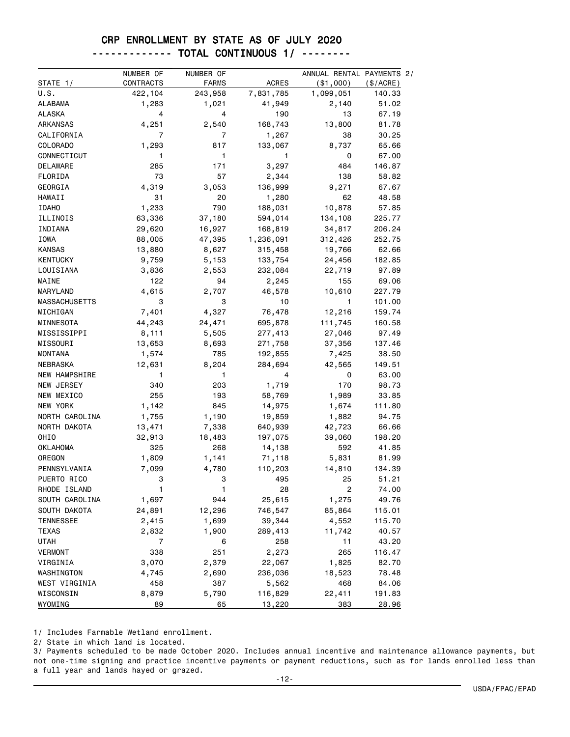#### CRP ENROLLMENT BY STATE AS OF JULY 2020

### ------------- TOTAL CONTINUOUS 1/ --------

|                  | NUMBER OF | NUMBER OF |              | ANNUAL RENTAL PAYMENTS 2/ |           |
|------------------|-----------|-----------|--------------|---------------------------|-----------|
| STATE 1/         | CONTRACTS | FARMS     | <b>ACRES</b> | $(*1,000)$                | (\$/ACRE) |
| U.S.             | 422,104   | 243,958   | 7,831,785    | 1,099,051                 | 140.33    |
| <b>ALABAMA</b>   | 1,283     | 1,021     | 41,949       | 2,140                     | 51.02     |
| ALASKA           | 4         | 4         | 190          | 13                        | 67.19     |
| ARKANSAS         | 4,251     | 2,540     | 168,743      | 13,800                    | 81.78     |
| CALIFORNIA       | 7         | 7         | 1,267        | 38                        | 30.25     |
| <b>COLORADO</b>  | 1,293     | 817       | 133,067      | 8,737                     | 65.66     |
| CONNECTICUT      | 1         | 1         | 1            | 0                         | 67.00     |
| DELAWARE         | 285       | 171       | 3,297        | 484                       | 146.87    |
| FLORIDA          | 73        | 57        | 2,344        | 138                       | 58.82     |
| GEORGIA          | 4,319     | 3,053     | 136,999      | 9,271                     | 67.67     |
| HAWAII           | 31        | 20        | 1,280        | 62                        | 48.58     |
| <b>IDAHO</b>     | 1,233     | 790       | 188,031      | 10,878                    | 57.85     |
| ILLINOIS         | 63,336    | 37,180    | 594,014      | 134,108                   | 225.77    |
| INDIANA          | 29,620    | 16,927    | 168,819      | 34,817                    | 206.24    |
| IOWA             | 88,005    | 47,395    | 1,236,091    | 312,426                   | 252.75    |
| <b>KANSAS</b>    | 13,880    | 8,627     | 315,458      | 19,766                    | 62.66     |
| <b>KENTUCKY</b>  | 9,759     | 5,153     | 133,754      | 24,456                    | 182.85    |
| LOUISIANA        | 3,836     | 2,553     | 232,084      | 22,719                    | 97.89     |
| MAINE            | 122       | 94        | 2,245        | 155                       | 69.06     |
| MARYLAND         | 4,615     | 2,707     | 46,578       | 10,610                    | 227.79    |
| MASSACHUSETTS    | 3         | 3         | 10           | 1                         | 101.00    |
| MICHIGAN         | 7,401     | 4,327     | 76,478       | 12,216                    | 159.74    |
| MINNESOTA        | 44,243    | 24,471    | 695,878      | 111,745                   | 160.58    |
| MISSISSIPPI      | 8,111     | 5,505     | 277,413      | 27,046                    | 97.49     |
| MISSOURI         | 13,653    | 8,693     | 271,758      | 37,356                    | 137.46    |
| <b>MONTANA</b>   | 1,574     | 785       | 192,855      | 7,425                     | 38.50     |
| NEBRASKA         | 12,631    | 8,204     | 284,694      | 42,565                    | 149.51    |
| NEW HAMPSHIRE    | 1         | 1         | 4            | 0                         | 63.00     |
| NEW JERSEY       | 340       | 203       | 1,719        | 170                       | 98.73     |
| NEW MEXICO       | 255       | 193       | 58,769       | 1,989                     | 33.85     |
| NEW YORK         | 1,142     | 845       | 14,975       | 1,674                     | 111.80    |
| NORTH CAROLINA   | 1,755     | 1,190     | 19,859       | 1,882                     | 94.75     |
| NORTH DAKOTA     | 13,471    | 7,338     | 640,939      | 42,723                    | 66.66     |
| OHIO             | 32,913    | 18,483    | 197,075      | 39,060                    | 198.20    |
| OKLAHOMA         | 325       | 268       | 14,138       | 592                       | 41.85     |
| OREGON           | 1,809     | 1,141     | 71,118       | 5,831                     | 81.99     |
| PENNSYLVANIA     | 7,099     | 4,780     | 110,203      | 14,810                    | 134.39    |
| PUERTO RICO      | 3         | 3         | 495          | 25                        | 51.21     |
| RHODE ISLAND     | 1         | 1         | 28           | 2                         | 74.00     |
| SOUTH CAROLINA   | 1,697     | 944       | 25,615       | 1,275                     | 49.76     |
| SOUTH DAKOTA     | 24,891    | 12,296    | 746,547      | 85,864                    | 115.01    |
| <b>TENNESSEE</b> | 2,415     | 1,699     | 39,344       | 4,552                     | 115.70    |
| <b>TEXAS</b>     | 2,832     | 1,900     | 289,413      | 11,742                    | 40.57     |
| <b>UTAH</b>      | 7         | 6         | 258          | 11                        | 43.20     |
| <b>VERMONT</b>   | 338       | 251       | 2,273        | 265                       | 116.47    |
| VIRGINIA         | 3,070     | 2,379     | 22,067       | 1,825                     | 82.70     |
| WASHINGTON       | 4,745     | 2,690     | 236,036      | 18,523                    | 78.48     |
| WEST VIRGINIA    | 458       | 387       | 5,562        | 468                       | 84.06     |
| WISCONSIN        | 8,879     | 5,790     | 116,829      | 22,411                    | 191.83    |
| WYOMING          | 89        | 65        | 13,220       | 383                       | 28.96     |

1/ Includes Farmable Wetland enrollment.

2/ State in which land is located.

3/ Payments scheduled to be made October 2020. Includes annual incentive and maintenance allowance payments, but not one-time signing and practice incentive payments or payment reductions, such as for lands enrolled less than a full year and lands hayed or grazed.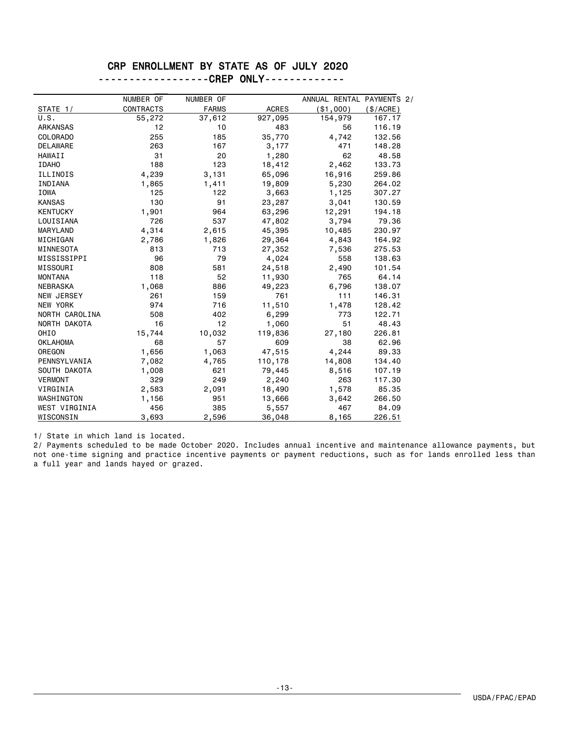### CRP ENROLLMENT BY STATE AS OF JULY 2020

| -------------------CREP ONLY------------- |  |
|-------------------------------------------|--|
|-------------------------------------------|--|

|                   | NUMBER OF        | NUMBER OF    |              | ANNUAL RENTAL PAYMENTS 2/ |           |
|-------------------|------------------|--------------|--------------|---------------------------|-----------|
| STATE 1/          | <b>CONTRACTS</b> | <b>FARMS</b> | <b>ACRES</b> | ( \$1,000)                | (\$/ACRE) |
| U.S.              | 55,272           | 37,612       | 927,095      | 154,979                   | 167.17    |
| ARKANSAS          | 12               | 10           | 483          | 56                        | 116.19    |
| <b>COLORADO</b>   | 255              | 185          | 35,770       | 4,742                     | 132.56    |
| <b>DELAWARE</b>   | 263              | 167          | 3,177        | 471                       | 148.28    |
| <b>HAWAII</b>     | 31               | 20           | 1,280        | 62                        | 48.58     |
| <b>IDAHO</b>      | 188              | 123          | 18,412       | 2,462                     | 133.73    |
| ILLINOIS          | 4,239            | 3,131        | 65,096       | 16,916                    | 259.86    |
| INDIANA           | 1,865            | 1,411        | 19,809       | 5,230                     | 264.02    |
| <b>IOWA</b>       | 125              | 122          | 3,663        | 1,125                     | 307.27    |
| <b>KANSAS</b>     | 130              | 91           | 23,287       | 3,041                     | 130.59    |
| <b>KENTUCKY</b>   | 1,901            | 964          | 63,296       | 12,291                    | 194.18    |
| LOUISIANA         | 726              | 537          | 47,802       | 3,794                     | 79.36     |
| MARYLAND          | 4,314            | 2,615        | 45,395       | 10,485                    | 230.97    |
| MICHIGAN          | 2,786            | 1,826        | 29,364       | 4,843                     | 164.92    |
| MINNESOTA         | 813              | 713          | 27,352       | 7,536                     | 275.53    |
| MISSISSIPPI       | 96               | 79           | 4,024        | 558                       | 138.63    |
| MISSOURI          | 808              | 581          | 24,518       | 2,490                     | 101.54    |
| <b>MONTANA</b>    | 118              | 52           | 11,930       | 765                       | 64.14     |
| NEBRASKA          | 1,068            | 886          | 49,223       | 6,796                     | 138.07    |
| <b>NEW JERSEY</b> | 261              | 159          | 761          | 111                       | 146.31    |
| NEW YORK          | 974              | 716          | 11,510       | 1,478                     | 128.42    |
| NORTH CAROLINA    | 508              | 402          | 6,299        | 773                       | 122.71    |
| NORTH DAKOTA      | 16               | 12           | 1,060        | 51                        | 48.43     |
| OHIO              | 15,744           | 10,032       | 119,836      | 27,180                    | 226.81    |
| <b>OKLAHOMA</b>   | 68               | 57           | 609          | 38                        | 62.96     |
| OREGON            | 1,656            | 1,063        | 47,515       | 4,244                     | 89.33     |
| PENNSYLVANIA      | 7,082            | 4,765        | 110,178      | 14,808                    | 134.40    |
| SOUTH DAKOTA      | 1,008            | 621          | 79,445       | 8,516                     | 107.19    |
| <b>VERMONT</b>    | 329              | 249          | 2,240        | 263                       | 117.30    |
| VIRGINIA          | 2,583            | 2,091        | 18,490       | 1,578                     | 85.35     |
| WASHINGTON        | 1,156            | 951          | 13,666       | 3,642                     | 266.50    |
| WEST VIRGINIA     | 456              | 385          | 5,557        | 467                       | 84.09     |
| WISCONSIN         | 3,693            | 2,596        | 36,048       | 8,165                     | 226.51    |

1/ State in which land is located.

2/ Payments scheduled to be made October 2020. Includes annual incentive and maintenance allowance payments, but not one-time signing and practice incentive payments or payment reductions, such as for lands enrolled less than a full year and lands hayed or grazed.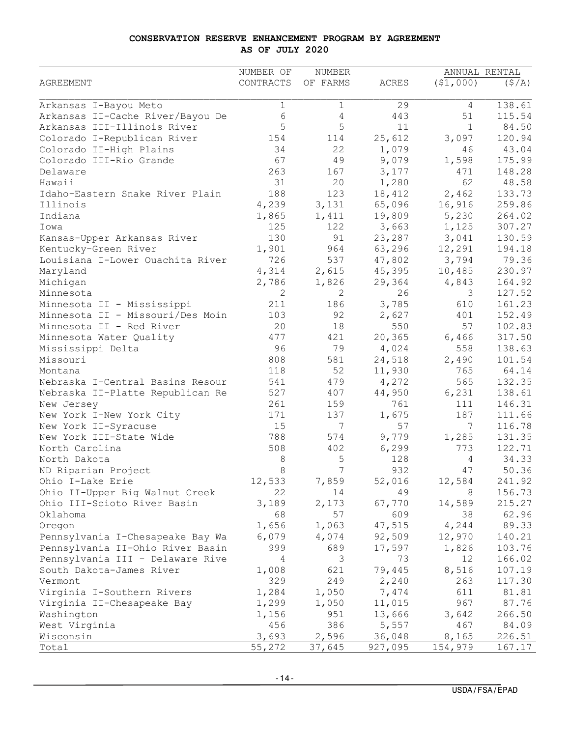#### **CONSERVATION RESERVE ENHANCEMENT PROGRAM BY AGREEMENT AS OF JULY 2020**

|                                  | NUMBER OF   | NUMBER   |              |              | ANNUAL RENTAL |
|----------------------------------|-------------|----------|--------------|--------------|---------------|
| <b>AGREEMENT</b>                 | CONTRACTS   | OF FARMS | <b>ACRES</b> | (51,000)     | (S/A)         |
|                                  |             |          |              |              |               |
| Arkansas I-Bayou Meto            | $\mathbf 1$ | 1        | 29           | 4            | 138.61        |
| Arkansas II-Cache River/Bayou De | 6           | 4        | 443          | 51           | 115.54        |
| Arkansas III-Illinois River      | 5           | 5        | 11           | $\mathbf{1}$ | 84.50         |
| Colorado I-Republican River      | 154         | 114      | 25,612       | 3,097        | 120.94        |
| Colorado II-High Plains          | 34          | 22       | 1,079        | 46           | 43.04         |
| Colorado III-Rio Grande          | 67          | 49       | 9,079        | 1,598        | 175.99        |
| Delaware                         | 263         | 167      | 3,177        | 471          | 148.28        |
| Hawaii                           | 31          | 20       | 1,280        | 62           | 48.58         |
| Idaho-Eastern Snake River Plain  | 188         | 123      | 18,412       | 2,462        | 133.73        |
| Illinois                         | 4,239       | 3,131    | 65,096       | 16,916       | 259.86        |
| Indiana                          | 1,865       | 1,411    | 19,809       | 5,230        | 264.02        |
| Iowa                             | 125         | 122      | 3,663        | 1,125        | 307.27        |
| Kansas-Upper Arkansas River      | 130         | 91       | 23,287       | 3,041        | 130.59        |
| Kentucky-Green River             | 1,901       | 964      | 63,296       | 12,291       | 194.18        |
| Louisiana I-Lower Ouachita River | 726         | 537      | 47,802       | 3,794        | 79.36         |
| Maryland                         | 4,314       | 2,615    | 45,395       | 10,485       | 230.97        |
| Michigan                         | 2,786       | 1,826    | 29,364       | 4,843        | 164.92        |
| Minnesota                        | 2           | 2        | 26           | 3            | 127.52        |
| Minnesota II - Mississippi       | 211         | 186      | 3,785        | 610          | 161.23        |
| Minnesota II - Missouri/Des Moin | 103         | 92       | 2,627        | 401          | 152.49        |
| Minnesota II - Red River         | 20          | 18       | 550          | 57           | 102.83        |
| Minnesota Water Quality          | 477         | 421      | 20,365       | 6,466        | 317.50        |
| Mississippi Delta                | 96          | 79       | 4,024        | 558          | 138.63        |
| Missouri                         | 808         | 581      | 24,518       | 2,490        | 101.54        |
| Montana                          | 118         | 52       | 11,930       | 765          | 64.14         |
| Nebraska I-Central Basins Resour | 541         | 479      | 4,272        | 565          | 132.35        |
| Nebraska II-Platte Republican Re | 527         | 407      | 44,950       | 6,231        | 138.61        |
| New Jersey                       | 261         | 159      | 761          | 111          | 146.31        |
| New York I-New York City         | 171         | 137      | 1,675        | 187          | 111.66        |
| New York II-Syracuse             | 15          | 7        | 57           | 7            | 116.78        |
| New York III-State Wide          | 788         | 574      | 9,779        | 1,285        | 131.35        |
| North Carolina                   | 508         | 402      | 6,299        | 773          | 122.71        |
| North Dakota                     | 8           | 5        | 128          | 4            | 34.33         |
|                                  | 8           | 7        | 932          | 47           | 50.36         |
| ND Riparian Project              |             |          |              |              |               |
| Ohio I-Lake Erie                 | 12,533      | 7,859    | 52,016       | 12,584       | 241.92        |
| Ohio II-Upper Big Walnut Creek   | 22          | 14       | 49           | 8            | 156.73        |
| Ohio III-Scioto River Basin      | 3,189       | 2,173    | 67,770       | 14,589       | 215.27        |
| Oklahoma                         | 68          | 57       | 609          | 38           | 62.96         |
| Oregon                           | 1,656       | 1,063    | 47,515       | 4,244        | 89.33         |
| Pennsylvania I-Chesapeake Bay Wa | 6,079       | 4,074    | 92,509       | 12,970       | 140.21        |
| Pennsylvania II-Ohio River Basin | 999         | 689      | 17,597       | 1,826        | 103.76        |
| Pennsylvania III - Delaware Rive | 4           | 3        | 73           | 12           | 166.02        |
| South Dakota-James River         | 1,008       | 621      | 79,445       | 8,516        | 107.19        |
| Vermont                          | 329         | 249      | 2,240        | 263          | 117.30        |
| Virginia I-Southern Rivers       | 1,284       | 1,050    | 7,474        | 611          | 81.81         |
| Virginia II-Chesapeake Bay       | 1,299       | 1,050    | 11,015       | 967          | 87.76         |
| Washington                       | 1,156       | 951      | 13,666       | 3,642        | 266.50        |
| West Virginia                    | 456         | 386      | 5,557        | 467          | 84.09         |
| Wisconsin                        | 3,693       | 2,596    | 36,048       | 8,165        | 226.51        |
| Total                            | 55,272      | 37,645   | 927,095      | 154,979      | 167.17        |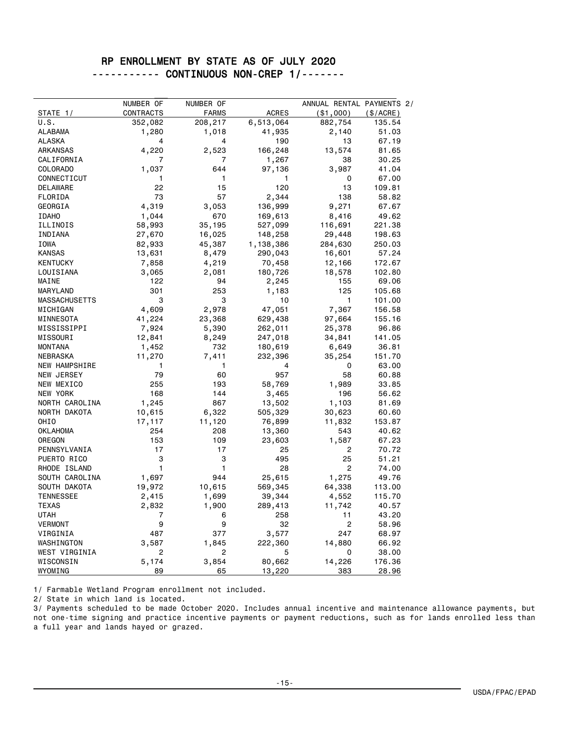### RP ENROLLMENT BY STATE AS OF JULY 2020 ----------- CONTINUOUS NON-CREP 1/-------

|                      | NUMBER OF | NUMBER OF    |              | ANNUAL RENTAL PAYMENTS 2/ |             |
|----------------------|-----------|--------------|--------------|---------------------------|-------------|
| STATE 1/             | CONTRACTS | <b>FARMS</b> | <b>ACRES</b> | ( \$1,000)                | $(\$/ACRE)$ |
| U.S.                 | 352,082   | 208,217      | 6,513,064    | 882,754                   | 135.54      |
| <b>ALABAMA</b>       | 1,280     | 1,018        | 41,935       | 2,140                     | 51.03       |
| <b>ALASKA</b>        | 4         | 4            | 190          | 13                        | 67.19       |
| <b>ARKANSAS</b>      | 4,220     | 2,523        | 166,248      | 13,574                    | 81.65       |
| CALIFORNIA           | 7         | 7            | 1,267        | 38                        | 30.25       |
| <b>COLORADO</b>      | 1,037     | 644          | 97,136       | 3,987                     | 41.04       |
| CONNECTICUT          | 1         | 1            | 1            | 0                         | 67.00       |
| <b>DELAWARE</b>      | 22        | 15           | 120          | 13                        | 109.81      |
| FLORIDA              | 73        | 57           | 2,344        | 138                       | 58.82       |
| GEORGIA              | 4,319     | 3,053        | 136,999      | 9,271                     | 67.67       |
| <b>IDAHO</b>         | 1,044     | 670          | 169,613      | 8,416                     | 49.62       |
| ILLINOIS             | 58,993    | 35,195       | 527,099      | 116,691                   | 221.38      |
| INDIANA              | 27,670    | 16,025       | 148,258      | 29,448                    | 198.63      |
| IOWA                 | 82,933    | 45,387       | 1,138,386    | 284,630                   | 250.03      |
| <b>KANSAS</b>        | 13,631    | 8,479        | 290,043      | 16,601                    | 57.24       |
| <b>KENTUCKY</b>      | 7,858     | 4,219        | 70,458       | 12,166                    | 172.67      |
| LOUISIANA            | 3,065     | 2,081        | 180,726      | 18,578                    | 102.80      |
| MAINE                | 122       | 94           | 2,245        | 155                       | 69.06       |
| MARYLAND             | 301       | 253          | 1,183        | 125                       | 105.68      |
| <b>MASSACHUSETTS</b> | 3         | 3            | 10           | 1                         | 101.00      |
| MICHIGAN             | 4,609     | 2,978        | 47,051       | 7,367                     | 156.58      |
| MINNESOTA            | 41,224    | 23,368       | 629,438      | 97,664                    | 155.16      |
| MISSISSIPPI          | 7,924     | 5,390        | 262,011      | 25,378                    | 96.86       |
| MISSOURI             | 12,841    | 8,249        | 247,018      | 34,841                    | 141.05      |
| <b>MONTANA</b>       | 1,452     | 732          | 180,619      | 6,649                     | 36.81       |
| <b>NEBRASKA</b>      | 11,270    | 7,411        | 232,396      | 35,254                    | 151.70      |
| <b>NEW HAMPSHIRE</b> | 1         | 1            | 4            | 0                         | 63.00       |
| NEW JERSEY           | 79        | 60           | 957          | 58                        | 60.88       |
| NEW MEXICO           | 255       | 193          | 58,769       | 1,989                     | 33.85       |
| NEW YORK             | 168       | 144          | 3,465        | 196                       | 56.62       |
| NORTH CAROLINA       | 1,245     | 867          | 13,502       | 1,103                     | 81.69       |
| NORTH DAKOTA         | 10,615    | 6,322        | 505,329      | 30,623                    | 60.60       |
| OHIO                 | 17,117    | 11,120       | 76,899       | 11,832                    | 153.87      |
| OKLAHOMA             | 254       | 208          | 13,360       | 543                       | 40.62       |
| OREGON               | 153       | 109          | 23,603       | 1,587                     | 67.23       |
| PENNSYLVANIA         | 17        | 17           | 25           | 2                         | 70.72       |
| PUERTO RICO          | 3         | 3            | 495          | 25                        | 51.21       |
| RHODE ISLAND         | 1         | 1            | 28           | 2                         | 74.00       |
| SOUTH CAROLINA       | 1,697     | 944          | 25,615       | 1,275                     | 49.76       |
| SOUTH DAKOTA         | 19,972    | 10,615       | 569,345      | 64,338                    | 113.00      |
| <b>TENNESSEE</b>     | 2,415     | 1,699        | 39,344       | 4,552                     | 115.70      |
| TEXAS                | 2,832     | 1,900        | 289,413      | 11,742                    | 40.57       |
| UTAH                 | 7         | 6            | 258          | 11                        | 43.20       |
| <b>VERMONT</b>       | 9         | 9            | 32           | 2                         | 58.96       |
| VIRGINIA             | 487       | 377          | 3,577        | 247                       | 68.97       |
| WASHINGTON           | 3,587     | 1,845        | 222,360      | 14,880                    | 66.92       |
| WEST VIRGINIA        | 2         | 2            | 5            | 0                         | 38.00       |
| WISCONSIN            | 5,174     | 3,854        | 80,662       | 14,226                    | 176.36      |
| WYOMING              | 89        | 65           | 13,220       | 383                       | 28.96       |

1/ Farmable Wetland Program enrollment not included.

2/ State in which land is located.

3/ Payments scheduled to be made October 2020. Includes annual incentive and maintenance allowance payments, but not one-time signing and practice incentive payments or payment reductions, such as for lands enrolled less than a full year and lands hayed or grazed.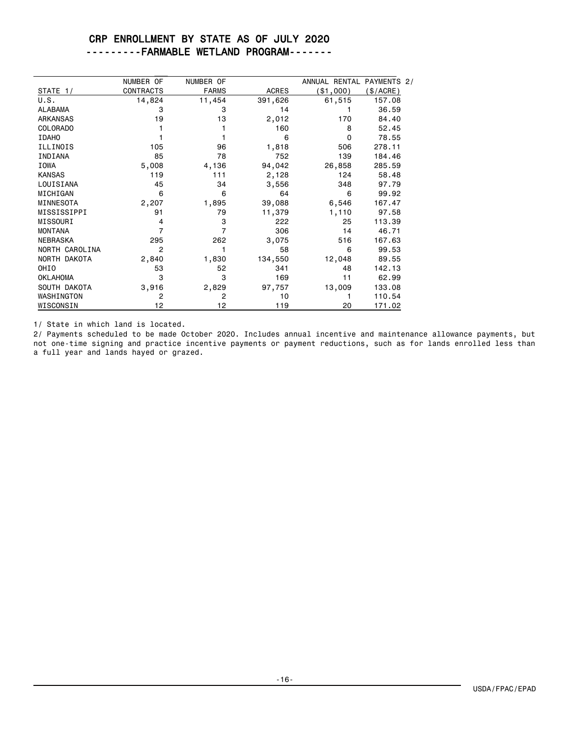### CRP ENROLLMENT BY STATE AS OF JULY 2020 ---------FARMABLE WETLAND PROGRAM-------

|                 | NUMBER OF        | NUMBER OF    |              | ANNUAL RENTAL PAYMENTS 2/ |          |
|-----------------|------------------|--------------|--------------|---------------------------|----------|
| STATE 1/        | <b>CONTRACTS</b> | <b>FARMS</b> | <b>ACRES</b> | (\$1,000)                 | \$/ACRE) |
| U.S.            | 14,824           | 11,454       | 391,626      | 61,515                    | 157.08   |
| <b>ALABAMA</b>  | 3                | 3            | 14           |                           | 36.59    |
| <b>ARKANSAS</b> | 19               | 13           | 2,012        | 170                       | 84.40    |
| <b>COLORADO</b> |                  |              | 160          | 8                         | 52.45    |
| <b>IDAHO</b>    |                  |              | 6            | $\Omega$                  | 78.55    |
| ILLINOIS        | 105              | 96           | 1,818        | 506                       | 278.11   |
| INDIANA         | 85               | 78           | 752          | 139                       | 184.46   |
| <b>IOWA</b>     | 5,008            | 4,136        | 94,042       | 26,858                    | 285.59   |
| <b>KANSAS</b>   | 119              | 111          | 2,128        | 124                       | 58.48    |
| LOUISIANA       | 45               | 34           | 3,556        | 348                       | 97.79    |
| MICHIGAN        | 6                | 6            | 64           | 6                         | 99.92    |
| MINNESOTA       | 2,207            | 1,895        | 39,088       | 6,546                     | 167.47   |
| MISSISSIPPI     | 91               | 79           | 11,379       | 1,110                     | 97.58    |
| MISSOURI        | 4                | 3            | 222          | 25                        | 113.39   |
| <b>MONTANA</b>  | 7                | 7            | 306          | 14                        | 46.71    |
| <b>NEBRASKA</b> | 295              | 262          | 3,075        | 516                       | 167.63   |
| NORTH CAROLINA  | 2                |              | 58           | 6                         | 99.53    |
| NORTH DAKOTA    | 2,840            | 1,830        | 134,550      | 12,048                    | 89.55    |
| OHIO            | 53               | 52           | 341          | 48                        | 142.13   |
| <b>OKLAHOMA</b> | 3                | 3            | 169          | 11                        | 62.99    |
| SOUTH DAKOTA    | 3,916            | 2,829        | 97,757       | 13,009                    | 133.08   |
| WASHINGTON      | $\overline{2}$   | 2            | 10           |                           | 110.54   |
| WISCONSIN       | 12               | 12           | 119          | 20                        | 171.02   |

1/ State in which land is located.

2/ Payments scheduled to be made October 2020. Includes annual incentive and maintenance allowance payments, but not one-time signing and practice incentive payments or payment reductions, such as for lands enrolled less than a full year and lands hayed or grazed.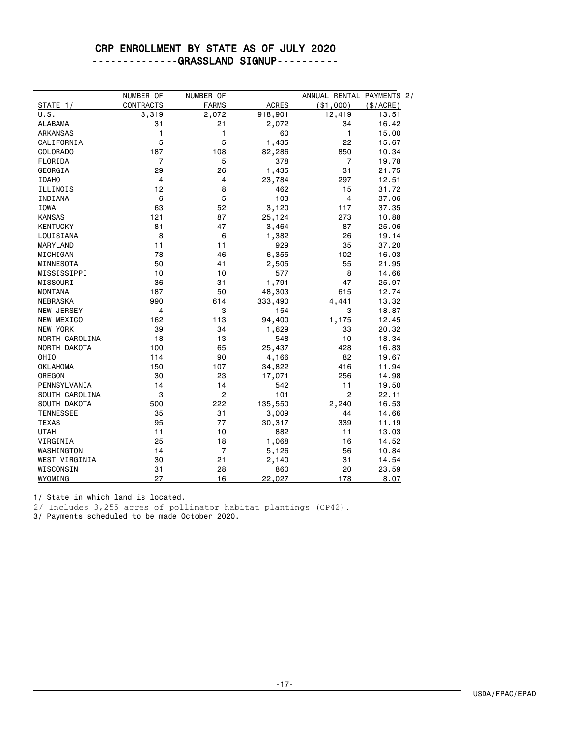### CRP ENROLLMENT BY STATE AS OF JULY 2020 --------------GRASSLAND SIGNUP----------

|                   | NUMBER OF        | NUMBER OF      |              | ANNUAL RENTAL PAYMENTS 2/ |           |
|-------------------|------------------|----------------|--------------|---------------------------|-----------|
| STATE 1/          | <b>CONTRACTS</b> | <b>FARMS</b>   | <b>ACRES</b> | ( \$1,000)                | (\$/ACRE) |
| U.S.              | 3,319            | 2,072          | 918,901      | 12,419                    | 13.51     |
| <b>ALABAMA</b>    | 31               | 21             | 2,072        | 34                        | 16.42     |
| <b>ARKANSAS</b>   | 1                | 1              | 60           | 1                         | 15.00     |
| CALIFORNIA        | 5                | 5              | 1,435        | 22                        | 15.67     |
| <b>COLORADO</b>   | 187              | 108            | 82,286       | 850                       | 10.34     |
| FLORIDA           | 7                | 5              | 378          | 7                         | 19.78     |
| GEORGIA           | 29               | 26             | 1,435        | 31                        | 21.75     |
| <b>IDAHO</b>      | 4                | 4              | 23,784       | 297                       | 12.51     |
| ILLINOIS          | 12               | 8              | 462          | 15                        | 31.72     |
| INDIANA           | 6                | 5              | 103          | 4                         | 37.06     |
| IOWA              | 63               | 52             | 3,120        | 117                       | 37.35     |
| <b>KANSAS</b>     | 121              | 87             | 25,124       | 273                       | 10.88     |
| <b>KENTUCKY</b>   | 81               | 47             | 3,464        | 87                        | 25.06     |
| LOUISIANA         | 8                | 6              | 1,382        | 26                        | 19.14     |
| MARYLAND          | 11               | 11             | 929          | 35                        | 37.20     |
| MICHIGAN          | 78               | 46             | 6,355        | 102                       | 16.03     |
| MINNESOTA         | 50               | 41             | 2,505        | 55                        | 21.95     |
| MISSISSIPPI       | 10               | 10             | 577          | 8                         | 14.66     |
| MISSOURI          | 36               | 31             | 1,791        | 47                        | 25.97     |
| <b>MONTANA</b>    | 187              | 50             | 48,303       | 615                       | 12.74     |
| <b>NEBRASKA</b>   | 990              | 614            | 333,490      | 4,441                     | 13.32     |
| <b>NEW JERSEY</b> | 4                | 3              | 154          | 3                         | 18.87     |
| NEW MEXICO        | 162              | 113            | 94,400       | 1,175                     | 12.45     |
| NEW YORK          | 39               | 34             | 1,629        | 33                        | 20.32     |
| NORTH CAROLINA    | 18               | 13             | 548          | 10                        | 18.34     |
| NORTH DAKOTA      | 100              | 65             | 25,437       | 428                       | 16.83     |
| OHIO              | 114              | 90             | 4,166        | 82                        | 19.67     |
| <b>OKLAHOMA</b>   | 150              | 107            | 34,822       | 416                       | 11.94     |
| OREGON            | 30               | 23             | 17,071       | 256                       | 14.98     |
| PENNSYLVANIA      | 14               | 14             | 542          | 11                        | 19.50     |
| SOUTH CAROLINA    | 3                | $\overline{c}$ | 101          | $\overline{2}$            | 22.11     |
| SOUTH DAKOTA      | 500              | 222            | 135,550      | 2,240                     | 16.53     |
| <b>TENNESSEE</b>  | 35               | 31             | 3,009        | 44                        | 14.66     |
| <b>TEXAS</b>      | 95               | 77             | 30,317       | 339                       | 11.19     |
| UTAH              | 11               | 10             | 882          | 11                        | 13.03     |
| VIRGINIA          | 25               | 18             | 1,068        | 16                        | 14.52     |
| WASHINGTON        | 14               | $\overline{7}$ | 5,126        | 56                        | 10.84     |
| WEST VIRGINIA     | 30               | 21             | 2,140        | 31                        | 14.54     |
| WISCONSIN         | 31               | 28             | 860          | 20                        | 23.59     |
| WYOMING           | 27               | 16             | 22,027       | 178                       | 8.07      |

1/ State in which land is located.

2/ Includes 3,255 acres of pollinator habitat plantings (CP42).

3/ Payments scheduled to be made October 2020.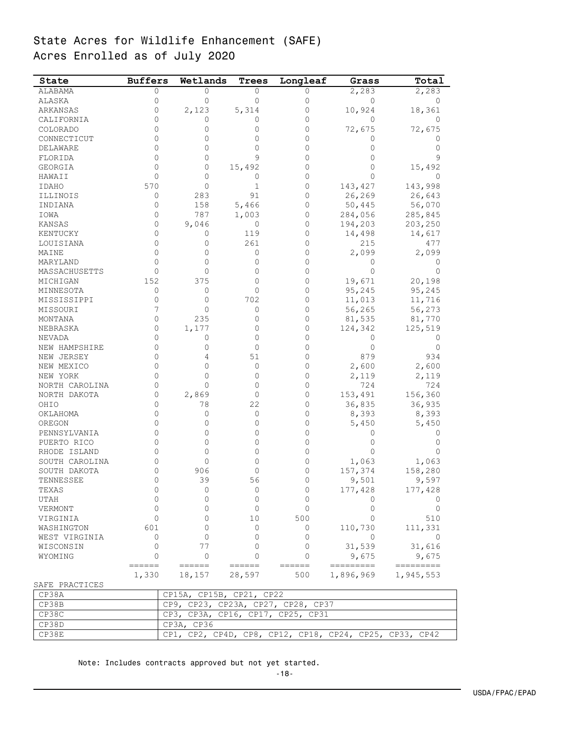# State Acres for Wildlife Enhancement (SAFE) Acres Enrolled as of July 2020

| State          | <b>Buffers</b> | Wetlands                           | <b>Trees</b>    | Longleaf | Grass                                                   | Total     |
|----------------|----------------|------------------------------------|-----------------|----------|---------------------------------------------------------|-----------|
| ALABAMA        | 0              | 0                                  | 0               | 0        | 2,283                                                   | 2,283     |
| ALASKA         | 0              | 0                                  | $\mathbf{0}$    | 0        | 0                                                       | 0         |
| ARKANSAS       | 0              | 2,123                              | 5,314           | 0        | 10,924                                                  | 18,361    |
| CALIFORNIA     | 0              | 0                                  | 0               | 0        | 0                                                       | 0         |
| COLORADO       | 0              | 0                                  | 0               | 0        | 72,675                                                  | 72,675    |
| CONNECTICUT    | 0              | 0                                  | 0               | 0        | 0                                                       | 0         |
| DELAWARE       | 0              | 0                                  | $\Omega$        | 0        | 0                                                       | 0         |
| FLORIDA        | 0              | 0                                  | 9               | 0        | 0                                                       | 9         |
| GEORGIA        | 0              | 0                                  | 15,492          | 0        | 0                                                       | 15,492    |
| HAWAII         | 0              | 0                                  | 0               | 0        | $\Omega$                                                | $\Omega$  |
| IDAHO          | 570            | 0                                  | $\mathbf 1$     | $\Omega$ | 143,427                                                 | 143,998   |
| ILLINOIS       | 0              | 283                                | 91              | 0        | 26,269                                                  | 26,643    |
| INDIANA        | 0              | 158                                | 5,466           | 0        | 50,445                                                  | 56,070    |
| IOWA           | 0              | 787                                | 1,003           | 0        | 284,056                                                 | 285,845   |
| KANSAS         | 0              | 9,046                              | 0               | 0        | 194,203                                                 | 203,250   |
| KENTUCKY       | 0              | 0                                  | 119             | 0        | 14,498                                                  | 14,617    |
| LOUISIANA      | 0              | 0                                  | 261             | 0        | 215                                                     | 477       |
| MAINE          | 0              | 0                                  | 0               | 0        | 2,099                                                   | 2,099     |
| MARYLAND       | 0              | 0                                  | 0               | 0        | 0                                                       | 0         |
| MASSACHUSETTS  | 0              | 0                                  | 0               | 0        | $\mathbf 0$                                             | $\Omega$  |
| MICHIGAN       | 152            | 375                                | 0               | 0        | 19,671                                                  | 20,198    |
| MINNESOTA      | 0              | 0                                  | 0               | 0        | 95,245                                                  | 95,245    |
| MISSISSIPPI    | 0              | 0                                  | 702             | 0        | 11,013                                                  | 11,716    |
| MISSOURI       | 7              | 0                                  | $\Omega$        | 0        | 56,265                                                  | 56,273    |
| MONTANA        | $\mathbf{0}$   | 235                                | 0               | 0        | 81,535                                                  | 81,770    |
| NEBRASKA       | 0              | 1,177                              | 0               | 0        | 124,342                                                 | 125,519   |
| NEVADA         | 0              | 0                                  | 0               | 0        | 0                                                       | 0         |
| NEW HAMPSHIRE  | 0              | 0                                  | 0               | 0        | $\overline{0}$                                          | 0         |
| NEW JERSEY     | 0              | 4                                  | 51              | 0        | 879                                                     | 934       |
| NEW MEXICO     | 0              | 0                                  | 0               | 0        | 2,600                                                   | 2,600     |
| NEW YORK       | 0              | 0                                  | 0               | $\Omega$ | 2,119                                                   | 2,119     |
| NORTH CAROLINA | 0              | 0                                  | 0               | 0        | 724                                                     | 724       |
| NORTH DAKOTA   | 0              | 2,869                              | 0               | 0        | 153,491                                                 | 156,360   |
| OHIO           | 0              | 78                                 | 22              | 0        | 36,835                                                  | 36,935    |
| OKLAHOMA       | 0              | 0                                  | 0               | 0        | 8,393                                                   | 8,393     |
| OREGON         | 0              | 0                                  | 0               | 0        | 5,450                                                   | 5,450     |
| PENNSYLVANIA   | 0              | 0                                  | 0               | 0        | 0                                                       | 0         |
| PUERTO RICO    | 0              | 0                                  | 0               | 0        | 0                                                       | 0         |
| RHODE ISLAND   | 0              | 0                                  | 0               | 0        | $\overline{0}$                                          | 0         |
| SOUTH CAROLINA | 0              | 0                                  | 0               | 0        | 1,063                                                   | 1,063     |
| SOUTH DAKOTA   | 0              | 906                                | 0               | 0        | 157,374                                                 | 158,280   |
| TENNESSEE      | 0              | 39                                 | 56              | 0        | 9,501                                                   | 9,597     |
| TEXAS          | 0              | 0                                  | 0               | 0        | 177,428                                                 | 177,428   |
| UTAH           | 0              | 0                                  | 0               | 0        | 0                                                       |           |
| VERMONT        | 0              | 0                                  | 0               | 0        | 0                                                       | 0         |
| VIRGINIA       | 0              | 0                                  | 10              | 500      | 0                                                       | 510       |
| WASHINGTON     | 601            | 0                                  | 0               | 0        | 110,730                                                 | 111,331   |
| WEST VIRGINIA  | 0              | 0                                  | 0               | 0        | 0                                                       | $\Omega$  |
| WISCONSIN      | 0              | 77                                 | 0               | 0        | 31,539                                                  | 31,616    |
| WYOMING        | 0              | 0                                  | $\Omega$        | 0        | 9,675                                                   | 9,675     |
|                | ======         | ======                             | $= = = = = = =$ | ======   | =========                                               | ========= |
|                | 1,330          | 18,157                             | 28,597          | 500      | 1,896,969                                               | 1,945,553 |
| SAFE PRACTICES |                |                                    |                 |          |                                                         |           |
| CP38A          |                | CP15A, CP15B, CP21, CP22           |                 |          |                                                         |           |
| CP38B          |                | CP9, CP23, CP23A, CP27, CP28, CP37 |                 |          |                                                         |           |
| CP38C          |                | CP3, CP3A, CP16, CP17, CP25, CP31  |                 |          |                                                         |           |
| CP38D          |                | CP3A, CP36                         |                 |          |                                                         |           |
| CP38E          |                |                                    |                 |          | CP1, CP2, CP4D, CP8, CP12, CP18, CP24, CP25, CP33, CP42 |           |

Note: Includes contracts approved but not yet started.

-18-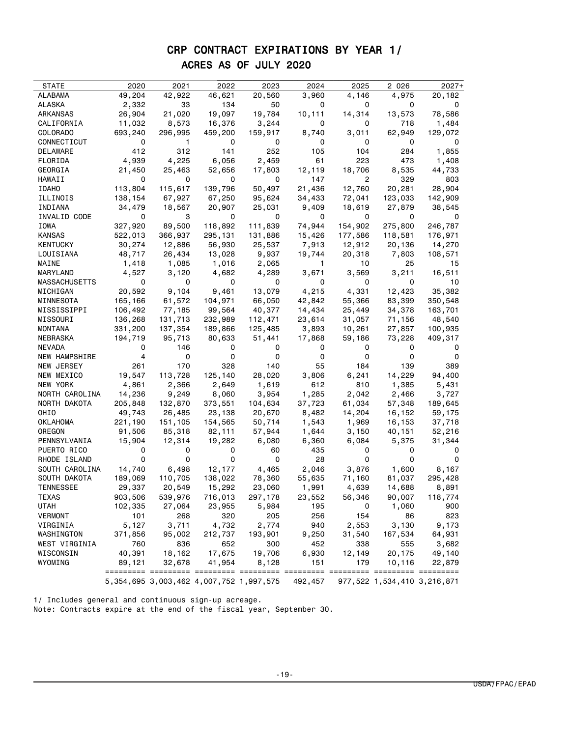# CRP CONTRACT EXPIRATIONS BY YEAR 1/ ACRES AS OF JULY 2020

| <b>STATE</b>           | 2020            | 2021           | 2022                                            | 2023         | 2024            | 2025    | 2 026         | $2027+$                       |
|------------------------|-----------------|----------------|-------------------------------------------------|--------------|-----------------|---------|---------------|-------------------------------|
| ALABAMA                | 49,204          | 42,922         | 46,621                                          | 20,560       | 3,960           | 4,146   | 4,975         | 20,182                        |
| ALASKA                 |                 | 33             | 134                                             | 50           | 0               | 0       | 0             | 0                             |
| ARKANSAS               | 2,332<br>26,904 | 21,020         | 19,097                                          | 19,784       | 10,111          | 14,314  | 13,573        | 78,586                        |
| CALIFORNIA             | 11,032          | 8,573          | 16,376                                          | 3,244        | 0               | 0       | 718           | 1,484                         |
| COLORADO               |                 |                | 459,200                                         |              | 8,740           | 3,011   |               |                               |
| CONNECTICUT            | 693,240<br>0    | 296,995<br>1.  | 0                                               | 159,917<br>0 | 0               | 0       | 62,949<br>0   | 129,072<br>0                  |
| DELAWARE               | 412             | 312            | 141                                             | 252          | 105             | 104     | 284           | 1,855                         |
|                        |                 |                |                                                 |              | 61              | 223     |               |                               |
| FLORIDA                | 4,939           | 4,225          | 6,056                                           | 2,459        |                 | 18,706  | 473<br>8,535  | 1,408<br>44,733               |
| GEORGIA                | 21,450<br>0     | 25,463<br>0    | 52,656<br>0                                     | 17,803<br>0  | 12,119<br>147   | 2       | 329           |                               |
| HAWAII                 | 113,804         | 115,617        | 139,796                                         | 50,497       | 21,436          | 12,760  | 20,281        | 803<br>28,904                 |
| <b>IDAHO</b>           |                 |                |                                                 |              |                 |         |               |                               |
| ILLINOIS               | 138,154         | 67,927         | 67,250                                          | 95,624       | 34,433          | 72,041  | 123,033       | 142,909                       |
| INDIANA                | 34,479          | 18,567         | 20,907                                          | 25,031       | 9,409           | 18,619  | 27,879        | 38,545                        |
| INVALID CODE           | 0               | 3              | 0                                               | 0            | 0               | 0       | 0             | 0                             |
| IOWA                   | 327,920         | 89,500         | 118,892                                         | 111,839      | 74,944          | 154,902 | 275,800       | 246,787                       |
| KANSAS                 | 522,013         | 366,937        | 295,131                                         | 131,886      | 15,426          | 177,586 | 118,581       | 176,971                       |
| KENTUCKY               | 30,274          | 12,886         | 56,930                                          | 25,537       | 7,913           | 12,912  | 20,136        | 14,270                        |
| LOUISIANA              | 48,717          | 26,434         | 13,028                                          | 9,937        | 19,744          | 20,318  | 7,803         | 108,571                       |
| MAINE                  | 1,418           | 1,085          | 1,016                                           | 2,065        | $\overline{1}$  | 10      | 25            | 15                            |
| MARYLAND               | 4,527           | 3,120          | 4,682                                           | 4,289        | 3,671           | 3,569   | 3,211         | 16,511                        |
| MASSACHUSETTS          | 0               | 0              | 0                                               | 0            | 0               | 0       | 0             | 10                            |
| MICHIGAN               | 20,592          | 9,104          | 9,461                                           | 13,079       | 4,215           | 4,331   | 12,423        | 35,382                        |
| MINNESOTA              | 165,166         | 61,572         | 104,971                                         | 66,050       | 42,842          | 55,366  | 83,399        | 350,548                       |
| MISSISSIPPI            | 106,492         | 77,185         | 99,564                                          | 40,377       | 14,434          | 25,449  | 34,378        | 163,701                       |
| MISSOURI               | 136,268         | 131,713        | 232,989                                         | 112,471      | 23,614<br>3,893 | 31,057  | 71,156        | 48,540                        |
| MONTANA                | 331,200         | 137,354        | 189,866                                         | 125,485      |                 | 10,261  | 27,857        | 100,935                       |
| NEBRASKA               | 194,719         | 95,713         | 80,633                                          | 51,441       | 17,868          | 59,186  | 73,228        | 409,317                       |
| NEVADA                 | 0<br>4          | 146<br>0       | 0<br>0                                          | 0<br>0       | 0<br>0          | 0<br>0  | 0<br>0        | 0<br>0                        |
| NEW HAMPSHIRE          |                 |                |                                                 | 140          | 55              | 184     |               | 389                           |
| NEW JERSEY             | 261<br>19,547   | 170            | 328                                             | 28,020       | 3,806           | 6,241   | 139<br>14,229 | 94,400                        |
| NEW MEXICO<br>NEW YORK | 4,861           | 113,728        | 125,140                                         | 1,619        | 612             | 810     | 1,385         |                               |
| NORTH CAROLINA         | 14,236          | 2,366<br>9,249 | 2,649<br>8,060                                  | 3,954        | 1,285           | 2,042   | 2,466         | 5,431<br>3,727                |
| NORTH DAKOTA           | 205,848         | 132,870        | 373,551                                         | 104,634      | 37,723          | 61,034  | 57,348        | 189,645                       |
| OHIO                   | 49,743          | 26,485         | 23,138                                          | 20,670       | 8,482           | 14,204  | 16,152        | 59,175                        |
| OKLAHOMA               | 221,190         | 151,105        | 154,565                                         | 50,714       | 1,543           | 1,969   | 16,153        | 37,718                        |
| OREGON                 | 91,506          | 85,318         | 82,111                                          | 57,944       | 1,644           | 3,150   | 40,151        | 52,216                        |
| PENNSYLVANIA           | 15,904          | 12,314         | 19,282                                          | 6,080        | 6,360           | 6,084   | 5,375         | 31,344                        |
| PUERTO RICO            | 0               | 0              | 0                                               | 60           | 435             | 0       | o             |                               |
| RHODE ISLAND           | 0               | 0              | 0                                               | 0            | 28              | 0       | 0             | 0                             |
| SOUTH CAROLINA         | 14,740          | 6,498          | 12,177                                          | 4,465        | 2,046           | 3,876   | 1,600         | 8,167                         |
| SOUTH DAKOTA           | 189,069         | 110,705        | 138,022                                         | 78,360       | 55,635          | 71,160  | 81,037        | 295,428                       |
| TENNESSEE              | 29,337          | 20,549         | 15,292                                          | 23,060       | 1,991           | 4,639   | 14,688        | 8,891                         |
| TEXAS                  | 903,506         | 539,976        | 716,013                                         | 297,178      | 23,552          | 56,346  | 90,007        | 118,774                       |
| UTAH                   | 102,335         | 27,064         | 23,955                                          | 5,984        | 195             | 0       | 1,060         | 900                           |
| <b>VERMONT</b>         | 101             | 268            | 320                                             | 205          | 256             | 154     | 86            | 823                           |
| VIRGINIA               | 5,127           | 3,711          | 4,732                                           | 2,774        | 940             | 2,553   | 3,130         | 9,173                         |
| WASHINGTON             | 371,856         | 95,002         | 212,737                                         | 193,901      | 9,250           | 31,540  | 167,534       | 64,931                        |
| WEST VIRGINIA          | 760             | 836            | 652                                             | 300          | 452             | 338     | 555           | 3,682                         |
| WISCONSIN              | 40,391          | 18,162         | 17,675                                          | 19,706       | 6,930           | 12,149  | 20,175        | 49,140                        |
| WYOMING                | 89,121          | 32,678         | 41,954                                          | 8,128        | 151             | 179     | 10,116        | 22,879                        |
|                        |                 |                |                                                 |              | =========       |         |               | ========= ========= ========= |
|                        |                 |                | 5, 354, 695 3, 003, 462 4, 007, 752 1, 997, 575 |              | 492,457         |         |               | 977,522 1,534,410 3,216,871   |

1/ Includes general and continuous sign-up acreage.

Note: Contracts expire at the end of the fiscal year, September 30.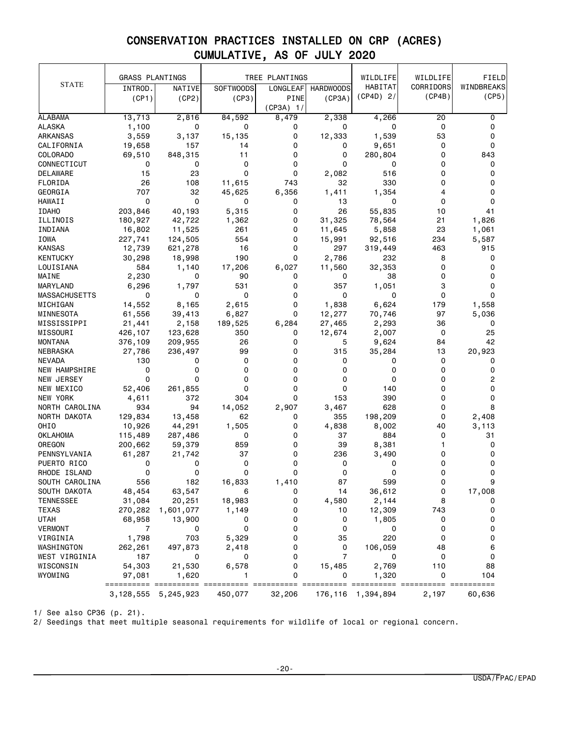|                          | <b>GRASS PLANTINGS</b> |                         |                  | TREE PLANTINGS      |                  | WILDLIFE             | WILDLIFE                  | FIELD       |
|--------------------------|------------------------|-------------------------|------------------|---------------------|------------------|----------------------|---------------------------|-------------|
| <b>STATE</b>             |                        |                         |                  |                     |                  | HABITAT              | CORRIDORS                 | WINDBREAKS  |
|                          | INTROD.                | NATIVE<br>(CP2)         | <b>SOFTWOODS</b> | <b>LONGLEAF</b>     | <b>HARDWOODS</b> | $(CP4D)$ 2/          | (CP4B)                    | (CP5)       |
|                          | (CP1)                  |                         | (CP3)            | PINE<br>$(CP3A)$ 1/ | (CP3A)           |                      |                           |             |
| <b>ALABAMA</b>           | 13,713                 | 2,816                   | 84,592           | 8,479               | 2,338            | 4,266                | 20                        | 0           |
| <b>ALASKA</b>            | 1,100                  | 0                       | 0                | 0                   | 0                | 0                    | 0                         | 0           |
| ARKANSAS                 | 3,559                  | 3,137                   | 15,135           | 0                   | 12,333           | 1,539                | 53                        | 0           |
| CALIFORNIA               | 19,658                 | 157                     | 14               | 0                   | 0                | 9,651                | $\mathbf 0$               | $\mathbf 0$ |
| COLORADO                 | 69,510                 | 848,315                 | 11               | 0                   | 0                | 280,804              | 0                         | 843         |
| CONNECTICUT              | 0                      | 0                       | 0                | 0                   | 0                | 0                    | 0                         | 0           |
| DELAWARE                 | 15                     | 23                      | 0                | 0                   | 2,082            | 516                  | 0                         | 0           |
| FLORIDA                  | 26                     | 108                     | 11,615           | 743                 | 32               | 330                  | 0                         | 0           |
| GEORGIA                  | 707                    | 32                      | 45,625           | 6,356               | 1,411            | 1,354                | 4                         | 0           |
| HAWAII                   | $\Omega$               | 0                       | 0                | 0                   | 13               | 0                    | 0                         | 0           |
| <b>IDAHO</b>             | 203,846                | 40,193                  | 5,315            | 0                   | 26               | 55,835               | 10                        | 41          |
| ILLINOIS                 | 180,927                | 42,722                  | 1,362            | 0                   | 31,325           | 78,564               | 21                        | 1,826       |
| INDIANA                  | 16,802                 | 11,525                  | 261              | 0                   | 11,645           | 5,858                | 23                        | 1,061       |
| IOWA                     | 227,741                | 124,505                 | 554              | 0                   |                  | 92,516               | 234                       | 5,587       |
| <b>KANSAS</b>            |                        | 621,278                 | 16               | 0                   | 15,991<br>297    |                      | 463                       | 915         |
| <b>KENTUCKY</b>          | 12,739<br>30,298       | 18,998                  | 190              | 0                   | 2,786            | 319,449<br>232       | 8                         | 0           |
|                          | 584                    |                         |                  | 6,027               |                  |                      | 0                         | 0           |
| LOUISIANA                |                        | 1,140<br>0              | 17,206<br>90     |                     | 11,560<br>0      | 32,353<br>38         | 0                         | 0           |
| MAINE<br><b>MARYLAND</b> | 2,230                  |                         |                  | 0                   |                  |                      | 3                         | 0           |
|                          | 6,296<br>0             | 1,797                   | 531<br>0         | 0<br>0              | 357<br>0         | 1,051<br>0           | 0                         | 0           |
| <b>MASSACHUSETTS</b>     |                        | 0                       |                  |                     |                  |                      |                           |             |
| MICHIGAN                 | 14,552                 | 8,165                   | 2,615            | 0                   | 1,838            | 6,624                | 179                       | 1,558       |
| MINNESOTA                | 61,556                 | 39,413                  | 6,827            | 0                   | 12,277           | 70,746               | 97                        | 5,036       |
| MISSISSIPPI              | 21,441                 | 2,158                   | 189,525          | 6,284               | 27,465           | 2,293                | 36                        | 0           |
| MISSOURI                 | 426,107                | 123,628                 | 350              | 0                   | 12,674           | 2,007                | 0                         | 25          |
| <b>MONTANA</b>           | 376,109                | 209,955                 | 26               | 0                   | 5                | 9,624                | 84                        | 42          |
| NEBRASKA                 | 27,786                 | 236,497                 | 99               | 0                   | 315              | 35,284               | 13                        | 20,923      |
| <b>NEVADA</b>            | 130                    | 0                       | 0                | 0                   | 0                | 0                    | 0                         | 0           |
| NEW HAMPSHIRE            | 0                      | 0                       | 0                | 0                   | 0                | 0                    | 0                         | 0           |
| NEW JERSEY               | 0                      | 0                       | 0                | 0                   | 0                | 0                    | 0                         | 2           |
| NEW MEXICO               | 52,406                 | 261,855                 | 0                | 0                   | 0                | 140                  | 0                         | 0           |
| NEW YORK                 | 4,611                  | 372                     | 304              | 0                   | 153              | 390                  | 0                         | 0           |
| NORTH CAROLINA           | 934                    | 94                      | 14,052           | 2,907               | 3,467            | 628                  | 0                         | 8           |
| NORTH DAKOTA             | 129,834                | 13,458                  | 62               | 0                   | 355              | 198,209              | 0                         | 2,408       |
| OHIO                     | 10,926                 | 44,291                  | 1,505            | 0                   | 4,838            | 8,002                | 40                        | 3,113       |
| OKLAHOMA                 | 115,489                | 287,486                 | 0                | 0                   | 37               | 884                  | 0                         | 31          |
| OREGON                   | 200,662                | 59,379                  | 859              | 0                   | 39               | 8,381                | 1                         | 0           |
| PENNSYLVANIA             | 61,287                 | 21,742                  | 37               | 0                   | 236              | 3,490                | 0                         | 0           |
| PUERTO RICO              | 0                      | 0                       | 0                | 0                   | 0                | 0                    | 0                         | 0           |
| RHODE ISLAND             | 0                      | 0                       | 0                | 0                   | 0                | 0                    | 0                         | 0           |
| SOUTH CAROLINA           | 556                    | 182                     | 16,833           | 1,410               | 87               | 599                  | ი                         |             |
| SOUTH DAKOTA             | 48,454                 | 63,547                  | 6                | 0                   | 14               | 36,612               | 0                         | 17,008      |
| <b>TENNESSEE</b>         | 31,084                 | 20,251                  | 18,983           | 0                   | 4,580            | 2,144                | 8                         | 0           |
| <b>TEXAS</b>             | 270,282                | 1,601,077               | 1,149            | 0                   | 10               | 12,309               | 743                       | 0           |
| <b>UTAH</b>              | 68,958                 | 13,900                  | 0                | 0                   | 0                | 1,805                | 0                         | 0           |
| VERMONT                  | 7                      | 0                       | 0                | 0                   | 0                | 0                    | 0                         | 0           |
| VIRGINIA                 | 1,798                  | 703                     | 5,329            | 0                   | 35               | 220                  | $\mathbf 0$               | 0           |
| WASHINGTON               | 262,261                | 497,873                 | 2,418            | 0                   | 0                | 106,059              | 48                        | 6           |
| WEST VIRGINIA            | 187                    | 0                       | 0                | 0                   | $\overline{7}$   | 0                    | 0                         | 0           |
| WISCONSIN                | 54,303                 | 21,530                  | 6,578            | 0                   | 15,485           | 2,769                | 110                       | 88          |
| WYOMING                  | 97,081                 | 1,620                   |                  | 0                   | 0                | 1,320                | 0<br>==================== | 104         |
|                          |                        | 3, 128, 555 5, 245, 923 | 450,077          | 32,206              |                  | 176, 116 1, 394, 894 | 2,197                     | 60,636      |

1/ See also CP36 (p. 21).

2/ Seedings that meet multiple seasonal requirements for wildlife of local or regional concern.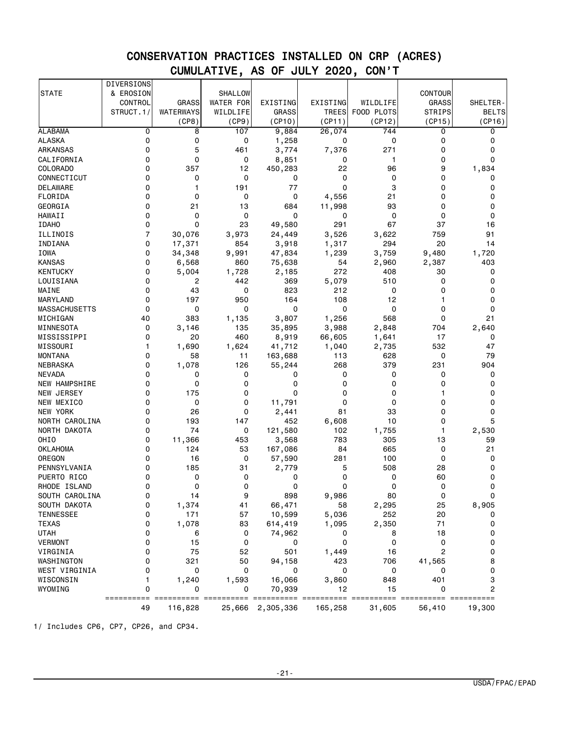|                      | DIVERSIONS     |                  |                  |              |              |            |                |                |
|----------------------|----------------|------------------|------------------|--------------|--------------|------------|----------------|----------------|
| <b>STATE</b>         | & EROSION      |                  | <b>SHALLOW</b>   |              |              |            | CONTOUR        |                |
|                      | CONTROL        | <b>GRASS</b>     | <b>WATER FOR</b> | EXISTING     | EXISTING     | WILDLIFE   | <b>GRASS</b>   | SHELTER-       |
|                      | STRUCT.1/      | <b>WATERWAYS</b> | WILDLIFE         | <b>GRASS</b> | <b>TREES</b> | FOOD PLOTS | <b>STRIPS</b>  | <b>BELTS</b>   |
|                      |                | (CP8)            | (CP9)            | (CP10)       | (CP11)       | (CP12)     | (CP15)         | (CP16)         |
| <b>ALABAMA</b>       | 0              | 8                | 107              | 9,884        | 26,074       | 744        | 0              | 0              |
| <b>ALASKA</b>        | $\mathbf 0$    | 0                | 0                | 1,258        | 0            | 0          | 0              | 0              |
| <b>ARKANSAS</b>      | 0              | 5                | 461              | 3,774        | 7,376        | 271        | 0              | 0              |
| CALIFORNIA           | 0              | 0                | 0                | 8,851        | 0            | 1          | 0              | $\Omega$       |
| COLORADO             | 0              | 357              | 12               | 450,283      | 22           | 96         | 9              | 1,834          |
| CONNECTICUT          | 0              | 0                | 0                | 0            | 0            | 0          | 0              | 0              |
| DELAWARE             | 0              | 1                | 191              | 77           | 0            | 3          | 0              | 0              |
| FLORIDA              | $\Omega$       | 0                | 0                | 0            | 4,556        | 21         | 0              | $\Omega$       |
| GEORGIA              | 0              | 21               | 13               | 684          | 11,998       | 93         | 0              | 0              |
| <b>HAWAII</b>        | 0              | 0                | 0                | 0            | 0            | 0          | 0              | 0              |
| <b>IDAHO</b>         | $\Omega$       | 0                | 23               | 49,580       | 291          | 67         | 37             | 16             |
| ILLINOIS             | $\overline{7}$ | 30,076           | 3,973            | 24,449       | 3,526        | 3,622      | 759            | 91             |
|                      |                |                  |                  |              |              |            |                |                |
| INDIANA              | 0<br>$\Omega$  | 17,371           | 854              | 3,918        | 1,317        | 294        | 20             | 14             |
| <b>IOWA</b>          |                | 34,348           | 9,991            | 47,834       | 1,239        | 3,759      | 9,480          | 1,720          |
| <b>KANSAS</b>        | 0              | 6,568            | 860              | 75,638       | 54<br>272    | 2,960      | 2,387          | 403            |
| <b>KENTUCKY</b>      | 0              | 5,004            | 1,728            | 2,185        |              | 408        | 30             | 0              |
| LOUISIANA            | $\Omega$       | 2                | 442              | 369          | 5,079        | 510        | 0              | $\Omega$       |
| MAINE                | 0              | 43               | 0                | 823          | 212          | 0          | 0              | 0              |
| MARYLAND             | 0              | 197              | 950              | 164          | 108          | 12         | 1              | $\mathbf 0$    |
| <b>MASSACHUSETTS</b> | $\Omega$       | 0                | 0                | 0            | 0            | 0          | 0              | $\mathbf 0$    |
| MICHIGAN             | 40             | 383              | 1,135            | 3,807        | 1,256        | 568        | 0              | 21             |
| MINNESOTA            | 0              | 3,146            | 135              | 35,895       | 3,988        | 2,848      | 704            | 2,640          |
| MISSISSIPPI          | $\mathbf 0$    | 20               | 460              | 8,919        | 66,605       | 1,641      | 17             | 0              |
| MISSOURI             | 1              | 1,690            | 1,624            | 41,712       | 1,040        | 2,735      | 532            | 47             |
| <b>MONTANA</b>       | 0              | 58               | 11               | 163,688      | 113          | 628        | 0              | 79             |
| NEBRASKA             | $\Omega$       | 1,078            | 126              | 55,244       | 268          | 379        | 231            | 904            |
| <b>NEVADA</b>        | 0              | 0                | 0                | 0            | 0            | 0          | 0              | 0              |
| NEW HAMPSHIRE        | 0              | 0                | 0                | 0            | 0            | 0          | 0              | 0              |
| NEW JERSEY           | 0              | 175              | 0                | 0            | 0            | 0          | 1              | 0              |
| NEW MEXICO           | 0              | 0                | 0                | 11,791       | 0            | 0          | 0              | 0              |
| <b>NEW YORK</b>      | $\Omega$       | 26               | 0                | 2,441        | 81           | 33         | 0              | 0              |
| NORTH CAROLINA       | 0              | 193              | 147              | 452          | 6,608        | 10         | 0              | 5              |
| NORTH DAKOTA         | $\mathbf 0$    | 74               | 0                | 121,580      | 102          | 1,755      | 1              | 2,530          |
| OHI <sub>0</sub>     | 0              | 11,366           | 453              | 3,568        | 783          | 305        | 13             | 59             |
| <b>OKLAHOMA</b>      | 0              | 124              | 53               | 167,086      | 84           | 665        | 0              | 21             |
| OREGON               | 0              | 16               | 0                | 57,590       | 281          | 100        | 0              | 0              |
| PENNSYLVANIA         | 0              | 185              | 31               | 2,779        | 5            | 508        | 28             | 0              |
| PUERTO RICO          | 0              | 0                | 0                | 0            | 0            | 0          | 60             | 0              |
| RHODE ISLAND         | 0              | 0                | 0                | 0            | 0            | 0          | 0              | 0              |
| SOUTH CAROLINA       |                | 14               | 9                | 898          | 9,986        | 80         | 0              |                |
| SOUTH DAKOTA         | 0              | 1,374            | 41               | 66,471       | 58           | 2,295      | 25             | 8,905          |
| <b>TENNESSEE</b>     | 0              | 171              | 57               | 10,599       | 5,036        | 252        | 20             | 0              |
| <b>TEXAS</b>         | 0              | 1,078            | 83               | 614,419      | 1,095        | 2,350      | 71             | 0              |
| <b>UTAH</b>          | 0              | 6                | 0                | 74,962       | 0            | 8          | 18             | 0              |
| <b>VERMONT</b>       | 0              | 15               | 0                | 0            | 0            | 0          | 0              | 0              |
| VIRGINIA             | 0              | 75               | 52               | 501          | 1,449        | 16         | $\overline{c}$ | 0              |
| WASHINGTON           | 0              | 321              | 50               | 94,158       | 423          | 706        | 41,565         | 8              |
| WEST VIRGINIA        | 0              | 0                | 0                | 0            | 0            | 0          | 0              | 0              |
| WISCONSIN            | 1              | 1,240            | 1,593            | 16,066       | 3,860        | 848        | 401            | 3              |
| WYOMING              | 0              | 0                | 0                | 70,939       | 12           | 15         | 0              | $\overline{2}$ |
|                      | ==========     |                  |                  |              |              |            |                |                |
|                      | 49             | 116,828          | 25,666           | 2,305,336    | 165,258      | 31,605     | 56,410         | 19,300         |

1/ Includes CP6, CP7, CP26, and CP34.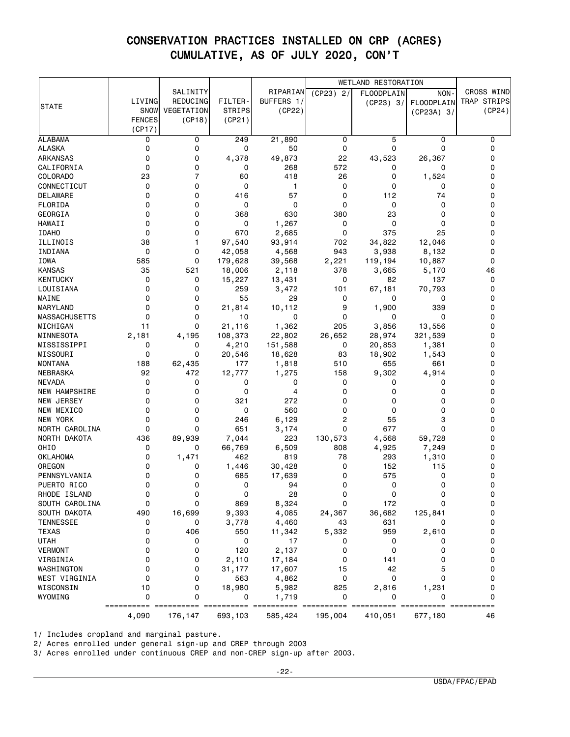|                       |               |            |                   |                 |              | WETLAND RESTORATION                     |              |                 |
|-----------------------|---------------|------------|-------------------|-----------------|--------------|-----------------------------------------|--------------|-----------------|
|                       |               | SALINITY   |                   | RIPARIAN        | $(CP23)$ 2/  | FLOODPLAIN                              | NON-         | CROSS WIND      |
| <b>STATE</b>          | LIVING        | REDUCING   | <b>FILTER</b>     | BUFFERS 1/      |              | (CP23) 3/                               | FLOODPLAIN   | TRAP STRIPS     |
|                       | SNOW          | VEGETATION | <b>STRIPS</b>     | (CP22)          |              |                                         | $(CP23A)$ 3/ | (CP24)          |
|                       | <b>FENCES</b> | (CP18)     | (CP21)            |                 |              |                                         |              |                 |
|                       | (CP17)        |            |                   |                 |              |                                         |              |                 |
| <b>ALABAMA</b>        | 0             | 0          | 249               | 21,890          | 0            | 5                                       | 0            | 0               |
| <b>ALASKA</b>         | 0             | 0          | 0                 | 50              | 0            | 0                                       | 0            | 0               |
| <b>ARKANSAS</b>       | 0             | 0          | 4,378             | 49,873          | 22           | 43,523                                  | 26,367       | 0               |
| CALIFORNIA            | 0             | 0          | 0                 | 268             | 572          | 0                                       | 0            | 0               |
| COLORADO              | 23            | 7          | 60                | 418             | 26           | 0                                       | 1,524        | 0               |
| CONNECTICUT           | 0             | 0          | 0                 | 1               | 0            | 0                                       | 0            | 0               |
| DELAWARE              | 0             | 0          | 416               | 57              | 0            | 112                                     | 74           | 0               |
| FLORIDA               | 0             | 0          | 0                 | 0               | 0            | 0                                       | 0            | 0               |
| GEORGIA               | 0             | 0          | 368               | 630             | 380          | 23                                      | 0            | 0               |
| HAWAII                | 0             | 0          | 0                 | 1,267           | 0            | 0                                       | 0            | 0               |
| <b>IDAHO</b>          | 0             | 0          | 670               | 2,685           | 0            | 375                                     | 25           | 0               |
| ILLINOIS              | 38            | 1          | 97,540            | 93,914          | 702          | 34,822                                  | 12,046       | 0               |
| INDIANA               | 0             | 0          | 42,058            | 4,568           | 943          | 3,938                                   | 8,132        | 0<br>0          |
| IOWA<br><b>KANSAS</b> | 585<br>35     | 0<br>521   | 179,628<br>18,006 | 39,568          | 2,221<br>378 | 119,194<br>3,665                        | 10,887       | 46              |
| <b>KENTUCKY</b>       | 0             | 0          | 15,227            | 2,118<br>13,431 | 0            | 82                                      | 5,170<br>137 | 0               |
| LOUISIANA             | 0             | 0          | 259               | 3,472           | 101          | 67,181                                  | 70,793       | 0               |
| MAINE                 | 0             | 0          | 55                | 29              | 0            | 0                                       | 0            | 0               |
| MARYLAND              | 0             | 0          | 21,814            | 10,112          | 9            | 1,900                                   | 339          | 0               |
| <b>MASSACHUSETTS</b>  | 0             | 0          | 10                | 0               | 0            | 0                                       | 0            | 0               |
| MICHIGAN              | 11            | 0          | 21,116            | 1,362           | 205          | 3,856                                   | 13,556       | 0               |
| MINNESOTA             | 2,181         | 4,195      | 108,373           | 22,802          | 26,652       | 28,974                                  | 321,539      | 0               |
| MISSISSIPPI           | 0             | 0          | 4,210             | 151,588         | 0            | 20,853                                  | 1,381        | 0               |
| MISSOURI              | 0             | 0          | 20,546            | 18,628          | 83           | 18,902                                  | 1,543        | 0               |
| <b>MONTANA</b>        | 188           | 62,435     | 177               | 1,818           | 510          | 655                                     | 661          | 0               |
| NEBRASKA              | 92            | 472        | 12,777            | 1,275           | 158          | 9,302                                   | 4,914        | 0               |
| <b>NEVADA</b>         | 0             | 0          | 0                 | 0               | 0            | 0                                       | 0            | 0               |
| NEW HAMPSHIRE         | 0             | 0          | 0                 | 4               | 0            | 0                                       | $\Omega$     | 0               |
| NEW JERSEY            | 0             | 0          | 321               | 272             | 0            | 0                                       | 0            | 0               |
| NEW MEXICO            | 0             | 0          | 0                 | 560             | 0            | 0                                       | 0            | 0               |
| <b>NEW YORK</b>       | 0             | 0          | 246               | 6,129           | 2            | 55                                      | 3            | 0               |
| NORTH CAROLINA        | 0             | 0          | 651               | 3,174           | 0            | 677                                     | 0            | 0               |
| NORTH DAKOTA          | 436           | 89,939     | 7,044             | 223             | 130,573      | 4,568                                   | 59,728       | 0               |
| OHIO                  | 0             | 0          | 66,769            | 6,509           | 808          | 4,925                                   | 7,249        | 0               |
| <b>OKLAHOMA</b>       | 0             | 1,471      | 462               | 819             | 78           | 293                                     | 1,310        | 0               |
| OREGON                | 0             | 0          | 1,446             | 30,428          | 0            | 152                                     | 115          | 0               |
| PENNSYLVANIA          | 0             | 0          | 685               | 17,639          | 0            | 575                                     | 0            | 0               |
| PUERTO RICO           | 0             | 0          | 0                 | 94              | 0            | 0                                       | 0            | 0               |
| RHODE ISLAND          | 0             | 0          | 0                 | 28              |              | 0                                       | 0            | 0               |
| SOUTH CAROLINA        | 0             | 0          | 869               | 8,324           | 0            | 172                                     | 0            | 0               |
| SOUTH DAKOTA          | 490           | 16,699     | 9,393             | 4,085           | 24,367       | 36,682                                  | 125,841      | 0               |
| <b>TENNESSEE</b>      | 0             | 0          | 3,778             | 4,460           | 43           | 631                                     | 0            | 0               |
| TEXAS                 | 0             | 406        | 550               | 11,342          | 5,332        | 959                                     | 2,610        | 0               |
| <b>UTAH</b>           | 0             | 0          | 0                 | 17              | 0            | 0                                       | 0            | 0               |
| VERMONT               | 0             | 0          | 120               | 2,137           | 0            | 0                                       | 0            | 0               |
| VIRGINIA              | 0             | 0          | 2,110             | 17,184          | 0            | 141                                     | 0            | 0               |
| WASHINGTON            | 0             | 0          | 31,177            | 17,607          | 15           | 42                                      | 5            | 0               |
| WEST VIRGINIA         | 0             | 0          | 563               | 4,862           | 0            | 0                                       | 0            | 0               |
| WISCONSIN             | 10            | 0          | 18,980            | 5,982           | 825          | 2,816                                   | 1,231        | 0               |
| WYOMING               | 0             | 0          | 0                 | 1,719           | 0            | 0<br>=========== =========== ========== | 0            | 0<br>========== |
|                       | 4,090         | 176,147    | 693,103           | 585,424         | 195,004      | 410,051                                 | 677,180      | 46              |

1/ Includes cropland and marginal pasture.

2/ Acres enrolled under general sign-up and CREP through 2003

3/ Acres enrolled under continuous CREP and non-CREP sign-up after 2003.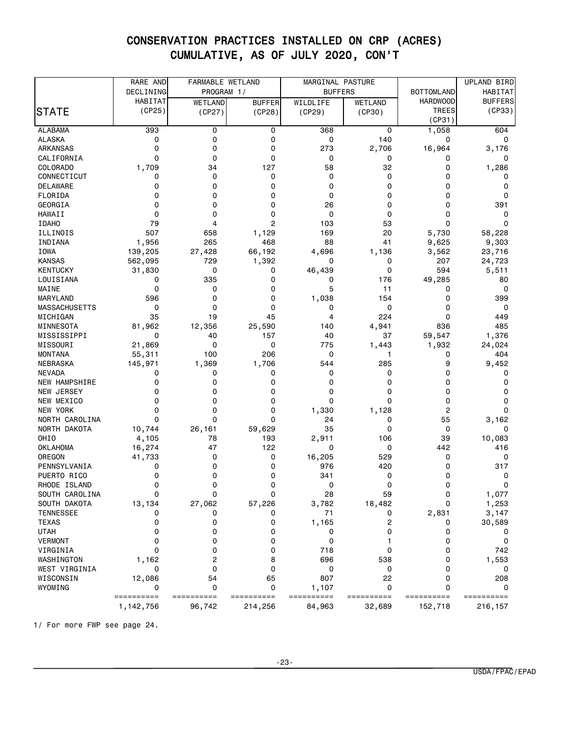|                      | RARE AND        | FARMABLE WETLAND |                |            | MARGINAL PASTURE                    |                 | UPLAND BIRD     |
|----------------------|-----------------|------------------|----------------|------------|-------------------------------------|-----------------|-----------------|
|                      | DECLINING       | PROGRAM 1/       |                |            | <b>BOTTOMLAND</b><br><b>BUFFERS</b> |                 | HABITAT         |
|                      | HABITAT         | WETLAND          | <b>BUFFER</b>  | WILDLIFE   | WETLAND                             | <b>HARDWOOD</b> | <b>BUFFERS</b>  |
| STATE                | (CP25)          | (CP27)           | (CP28)         | (CP29)     | (CP30)                              | <b>TREES</b>    | (CP33)          |
|                      |                 |                  |                |            |                                     | (CP31)          |                 |
| <b>ALABAMA</b>       | 393             | 0                | 0              | 368        | 0                                   | 1,058           | 604             |
| <b>ALASKA</b>        | 0               | 0                | 0              | 0          | 140                                 | 0               | 0               |
| <b>ARKANSAS</b>      | 0               | 0                | 0              | 273        | 2,706                               | 16,964          | 3,176           |
| CALIFORNIA           | 0               | 0                | 0              | 0          | 0                                   | 0               | 0               |
| <b>COLORADO</b>      | 1,709           | 34               | 127            | 58         | 32                                  | 0               | 1,286           |
| CONNECTICUT          | 0               | 0                | 0              | 0          | 0                                   | 0               | 0               |
| <b>DELAWARE</b>      | 0               | 0                | 0              | 0          | 0                                   | 0               | 0               |
| FLORIDA              | 0               | 0                | 0              | 0          | 0                                   | 0               | 0               |
| GEORGIA              | 0               | 0                | 0              | 26         | 0                                   | 0               | 391             |
| <b>HAWAII</b>        | 0               | 0                | 0              | 0          | 0                                   | 0               | 0               |
| <b>IDAHO</b>         | 79              | 4                | $\overline{c}$ | 103        | 53                                  | 0               | 0               |
| ILLINOIS             | 507             | 658              | 1,129          | 169        | 20                                  | 5,730           | 58,228          |
| INDIANA              | 1,956           | 265              | 468            | 88         | 41                                  | 9,625           | 9,303           |
| IOWA                 | 139,205         | 27,428           | 66,192         | 4,696      | 1,136                               | 3,562           | 23,716          |
| <b>KANSAS</b>        | 562,095         | 729              | 1,392          | 0          | 0                                   | 207             | 24,723          |
| <b>KENTUCKY</b>      | 31,830          | 0                | 0              | 46,439     | 0                                   | 594             | 5,511           |
| LOUISIANA            | 0               | 335              | 0              | 0          | 176                                 | 49,285          | 80              |
| MAINE                | 0               | 0                | 0              | 5          | 11                                  | 0               | 0               |
| MARYLAND             | 596             | 0                | 0              | 1,038      | 154                                 | 0               | 399             |
| <b>MASSACHUSETTS</b> | 0               | $\mathbf 0$      | 0              | 0          | 0                                   | 0               | 0               |
| MICHIGAN             | 35              | 19               | 45             | 4          | 224                                 | 0               | 449             |
| MINNESOTA            | 81,962          | 12,356           | 25,590         | 140        | 4,941                               | 836             | 485             |
| MISSISSIPPI          | 0               | 40               | 157            | 40         | 37                                  | 59,547          | 1,376           |
| MISSOURI             | 21,869          | 0                | 0              | 775        | 1,443                               | 1,932           | 24,024          |
| <b>MONTANA</b>       | 55,311          | 100              | 206            | 0          | 1                                   | 0               | 404             |
| NEBRASKA             | 145,971         | 1,369            | 1,706          | 544        | 285                                 | 9               | 9,452           |
| <b>NEVADA</b>        | 0               | 0                | 0              | 0          | 0                                   | 0               | 0               |
| NEW HAMPSHIRE        | 0               | 0                | 0              | 0          | 0                                   | 0               | 0               |
| NEW JERSEY           | 0               | 0                | 0              | 0          | 0                                   | 0               | 0               |
| NEW MEXICO           | 0               | 0                | 0              | 0          | 0                                   | 0               | 0               |
| <b>NEW YORK</b>      | 0               | 0                | 0              | 1,330      | 1,128                               | 2               | 0               |
| NORTH CAROLINA       | 0               | 0                | 0              | 24         | 0                                   | 55              | 3,162           |
| NORTH DAKOTA         |                 | 26,161           | 59,629         | 35         | 0                                   | 0               | 0               |
| OHIO                 | 10,744          | 78               | 193            |            | 106                                 | 39              | 10,083          |
| <b>OKLAHOMA</b>      | 4,105<br>16,274 | 47               | 122            | 2,911<br>0 | 0                                   | 442             | 416             |
| OREGON               | 41,733          | 0                | 0              | 16,205     | 529                                 | 0               | 0               |
| PENNSYLVANIA         | 0               | 0                | 0              | 976        | 420                                 | 0               | 317             |
| PUERTO RICO          |                 | 0                |                | 341        | 0                                   | 0               | 0               |
| RHODE ISLAND         | 0<br>0          | 0                | 0<br>0         | 0          | 0                                   | 0               | 0               |
|                      |                 | 0                |                | 28         | 59                                  |                 | 1,077           |
| SOUTH CAROLINA       |                 |                  |                |            |                                     |                 |                 |
| SOUTH DAKOTA         | 13,134          | 27,062           | 57,226         | 3,782      | 18,482                              | 0               | 1,253           |
| <b>TENNESSEE</b>     | 0               | 0                | 0              | 71         | 0                                   | 2,831           | 3,147           |
| <b>TEXAS</b>         | 0               | 0                | 0              | 1,165      | 2                                   | 0               | 30,589          |
| <b>UTAH</b>          | 0               | 0                | 0              | 0          | 0                                   | 0               | 0               |
| <b>VERMONT</b>       | 0               | 0                | 0              | 0          |                                     | 0               | 0               |
| VIRGINIA             | 0               | 0                | 0              | 718        | 0                                   | 0               | 742             |
| WASHINGTON           | 1,162           | 2                | 8              | 696        | 538                                 | 0               | 1,553           |
| WEST VIRGINIA        | 0               | 0                | 0              | 0          | 0                                   | 0               | 0               |
| WISCONSIN            | 12,086          | 54               | 65             | 807        | 22                                  | 0               | 208             |
| WYOMING              | 0               | 0                | 0              | 1,107      | 0                                   | 0               | 0<br>========== |
|                      | ==========      | ==========       | ==========     | ========== | ==========                          | ==========      |                 |
|                      | 1,142,756       | 96,742           | 214,256        | 84,963     | 32,689                              | 152,718         | 216,157         |

1/ For more FWP see page 24.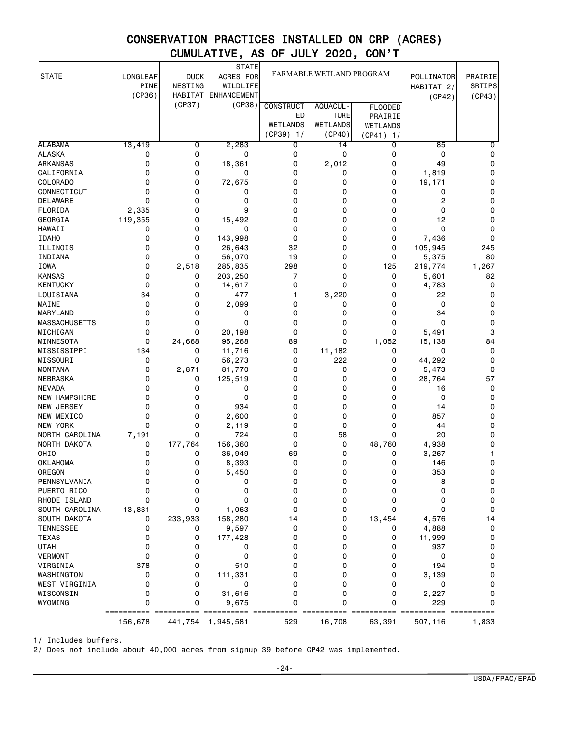|                                    |          |                          | <b>STATE</b>                 |                          |                    |                              |                  |           |
|------------------------------------|----------|--------------------------|------------------------------|--------------------------|--------------------|------------------------------|------------------|-----------|
| <b>STATE</b>                       | LONGLEAF | <b>DUCK</b>              | ACRES FOR                    | FARMABLE WETLAND PROGRAM |                    |                              | POLLINATOR       | PRAIRIE   |
|                                    | PINE     | NESTING                  | WILDLIFE                     |                          |                    |                              | HABITAT 2/       | SRTIPS    |
|                                    | (CP36)   | <b>HABITAT</b><br>(CP37) | <b>ENHANCEMENT</b><br>(CP38) |                          |                    |                              | (CP42)           | (CP43)    |
|                                    |          |                          |                              | <b>CONSTRUCT</b>         | AQUACUL -          | <b>FLOODED</b>               |                  |           |
|                                    |          |                          |                              | ED                       | <b>TURE</b>        | PRAIRIE                      |                  |           |
|                                    |          |                          |                              | WETLANDS<br>(CP39) 1/    | WETLANDS<br>(CP40) | <b>WETLANDS</b><br>(CP41) 1/ |                  |           |
| <b>ALABAMA</b>                     | 13,419   | 0                        | 2,283                        | 0                        | 14                 | 0                            | 85               | 0         |
| <b>ALASKA</b>                      | 0        | 0                        | 0                            | 0                        | 0                  | 0                            | 0                | 0         |
| ARKANSAS                           | 0        | 0                        | 18,361                       | 0                        | 2,012              | 0                            | 49               | 0         |
| CALIFORNIA                         | 0        | 0                        | 0                            | 0                        | 0                  | 0                            | 1,819            | 0         |
| COLORADO                           | 0        | 0                        | 72,675                       | 0                        | 0                  | 0                            | 19,171           | 0         |
| CONNECTICUT                        | 0        | 0                        | 0                            | 0                        | 0                  | 0                            | 0                | 0         |
| DELAWARE                           | 0        | 0                        | 0                            | 0                        | 0                  | 0                            | 2                | 0         |
| FLORIDA                            | 2,335    | 0                        | 9                            | 0                        | 0                  | 0                            | 0                | 0         |
| GEORGIA                            | 119,355  | 0                        | 15,492                       | 0                        | 0                  | 0                            | 12               | 0         |
| <b>HAWAII</b>                      | 0        | 0                        | 0                            | 0                        | 0                  | 0                            | 0                | 0         |
| <b>IDAHO</b>                       | 0        | 0                        | 143,998                      | 0                        | 0                  | 0                            | 7,436            | 0         |
| ILLINOIS<br>INDIANA                | 0<br>0   | 0<br>0                   | 26,643                       | 32<br>19                 | 0<br>0             | 0<br>0                       | 105,945          | 245<br>80 |
| <b>IOWA</b>                        | 0        | 2,518                    | 56,070<br>285,835            | 298                      | 0                  | 125                          | 5,375<br>219,774 | 1,267     |
| <b>KANSAS</b>                      | 0        | 0                        | 203,250                      | 7                        | 0                  | 0                            | 5,601            | 82        |
| KENTUCKY                           | 0        | 0                        | 14,617                       | 0                        | 0                  | 0                            | 4,783            | 0         |
| LOUISIANA                          | 34       | 0                        | 477                          | 1                        | 3,220              | 0                            | 22               | 0         |
| MAINE                              | 0        | 0                        | 2,099                        | 0                        | 0                  | 0                            | 0                | 0         |
| MARYLAND                           | 0        | 0                        | 0                            | 0                        | 0                  | 0                            | 34               | 0         |
| <b>MASSACHUSETTS</b>               | 0        | 0                        | 0                            | 0                        | 0                  | 0                            | 0                | 0         |
| MICHIGAN                           | 0        | 0                        | 20,198                       | 0                        | 0                  | 0                            | 5,491            | 3         |
| MINNESOTA                          | 0        | 24,668                   | 95,268                       | 89                       | 0                  | 1,052                        | 15,138           | 84        |
| MISSISSIPPI                        | 134      | 0                        | 11,716                       | 0                        | 11,182             | 0                            | 0                | 0         |
| MISSOURI                           | 0        | 0                        | 56,273                       | 0                        | 222                | 0                            | 44,292           | 0         |
| <b>MONTANA</b>                     | 0        | 2,871                    | 81,770                       | 0                        | 0                  | 0                            | 5,473            | 0         |
| NEBRASKA                           | 0        | 0                        | 125,519                      | 0                        | 0                  | 0                            | 28,764           | 57        |
| <b>NEVADA</b>                      | 0        | 0                        | 0                            | 0                        | 0                  | 0                            | 16               | 0         |
| <b>NEW HAMPSHIRE</b><br>NEW JERSEY | 0<br>0   | 0<br>0                   | 0<br>934                     | 0<br>0                   | 0<br>0             | 0<br>0                       | 0<br>14          | 0<br>0    |
| NEW MEXICO                         | 0        | 0                        | 2,600                        | $\Omega$                 | 0                  | 0                            | 857              | 0         |
| <b>NEW YORK</b>                    | 0        | 0                        | 2,119                        | 0                        | 0                  | 0                            | 44               | 0         |
| NORTH CAROLINA                     | 7,191    | 0                        | 724                          | 0                        | 58                 | 0                            | 20               | 0         |
| NORTH DAKOTA                       | 0        | 177,764                  | 156,360                      | $\Omega$                 | 0                  | 48,760                       | 4,938            | 0         |
| OHI <sub>0</sub>                   | 0        | 0                        | 36,949                       | 69                       | 0                  | 0                            | 3,267            | 1         |
| <b>OKLAHOMA</b>                    | 0        | 0                        | 8,393                        | 0                        | 0                  | 0                            | 146              | 0         |
| OREGON                             | 0        | 0                        | 5,450                        | 0                        | 0                  | 0                            | 353              | 0         |
| PENNSYLVANIA                       | O        | 0                        | U                            | 0                        | 0                  | U                            | 8                | 0         |
| PUERTO RICO                        | 0        | 0                        | 0                            | 0                        | 0                  | 0                            | 0                | 0         |
| RHODE ISLAND                       | 0        | 0                        | 0                            | 0                        | 0                  | 0                            | 0                | 0         |
| SOUTH CAROLINA                     | 13,831   | 0                        | 1,063                        | 0                        | 0                  | 0                            | 0                | 0         |
| SOUTH DAKOTA                       | 0        | 233,933                  | 158,280                      | 14                       | 0                  | 13,454                       | 4,576            | 14        |
| <b>TENNESSEE</b>                   | 0        | 0                        | 9,597                        | 0                        | 0                  | 0                            | 4,888            | 0         |
| <b>TEXAS</b>                       | 0        | 0                        | 177,428                      | 0                        | 0                  | 0                            | 11,999           | 0         |
| <b>UTAH</b>                        | 0        | 0                        | 0                            | 0                        | 0                  | 0                            | 937              | 0         |
| <b>VERMONT</b>                     | 0<br>378 | 0<br>0                   | 0<br>510                     | 0<br>0                   | 0<br>0             | 0<br>0                       | 0<br>194         | 0         |
| VIRGINIA<br>WASHINGTON             | 0        | 0                        | 111,331                      | 0                        | 0                  | 0                            | 3,139            | 0<br>0    |
| WEST VIRGINIA                      | 0        | 0                        | 0                            | 0                        | 0                  | 0                            | 0                | 0         |
| WISCONSIN                          | 0        | 0                        | 31,616                       | 0                        | 0                  | 0                            | 2,227            | 0         |
| WYOMING                            | 0        | 0                        | 9,675                        | 0                        | 0                  | 0                            | 229              | 0         |
|                                    | 156,678  | 441,754                  | 1,945,581                    | 529                      | 16,708             | 63,391                       | 507,116          | 1,833     |

1/ Includes buffers.

2/ Does not include about 40,000 acres from signup 39 before CP42 was implemented.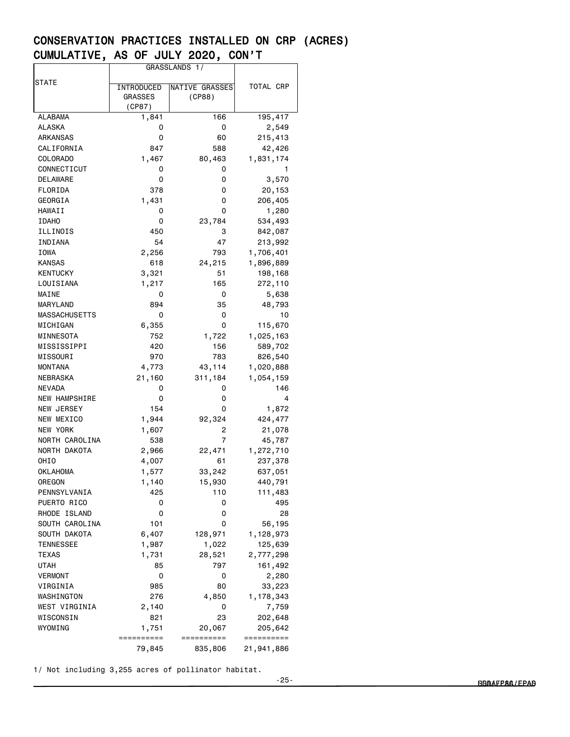|                      | GRASSLANDS 1/  |                |            |  |  |
|----------------------|----------------|----------------|------------|--|--|
|                      |                |                |            |  |  |
| STATE                | INTRODUCED     | NATIVE GRASSES | TOTAL CRP  |  |  |
|                      | <b>GRASSES</b> | (CP88)         |            |  |  |
|                      | (CP87)         |                |            |  |  |
| ALABAMA              | 1,841          | 166            | 195,417    |  |  |
| ALASKA               | 0              | 0              | 2,549      |  |  |
| ARKANSAS             | 0              | 60             | 215,413    |  |  |
| CALIFORNIA           | 847            | 588            | 42,426     |  |  |
| <b>COLORADO</b>      | 1,467          | 80,463         | 1,831,174  |  |  |
| CONNECTICUT          | 0              | 0              |            |  |  |
| DELAWARE             | 0              | 0              | 3,570      |  |  |
| FLORIDA              | 378            | 0              | 20,153     |  |  |
| GEORGIA              | 1,431          | 0              | 206,405    |  |  |
| HAWAII               |                |                |            |  |  |
|                      | 0              | 0              | 1,280      |  |  |
| <b>IDAHO</b>         | 0              | 23,784         | 534,493    |  |  |
| ILLINOIS             | 450            | 3              | 842,087    |  |  |
| INDIANA              | 54             | 47             | 213,992    |  |  |
| IOWA                 | 2,256          | 793            | 1,706,401  |  |  |
| <b>KANSAS</b>        | 618            | 24,215         | 1,896,889  |  |  |
| <b>KENTUCKY</b>      | 3,321          | 51             | 198,168    |  |  |
| LOUISIANA            | 1,217          | 165            | 272,110    |  |  |
| MAINE                | 0              | 0              | 5,638      |  |  |
| <b>MARYLAND</b>      | 894            | 35             | 48,793     |  |  |
| <b>MASSACHUSETTS</b> | 0              | 0              | 10         |  |  |
| MICHIGAN             | 6,355          | 0              | 115,670    |  |  |
| MINNESOTA            | 752            | 1,722          | 1,025,163  |  |  |
| MISSISSIPPI          | 420            | 156            | 589,702    |  |  |
| MISSOURI             | 970            | 783            | 826,540    |  |  |
| <b>MONTANA</b>       | 4,773          | 43,114         | 1,020,888  |  |  |
| NEBRASKA             | 21,160         | 311,184        | 1,054,159  |  |  |
| <b>NEVADA</b>        | 0              | 0              | 146        |  |  |
| <b>NEW HAMPSHIRE</b> | 0              | 0              | 4          |  |  |
| <b>NEW JERSEY</b>    | 154            | 0              | 1,872      |  |  |
| NEW MEXICO           | 1,944          | 92,324         | 424,477    |  |  |
| NEW YORK             | 1,607          | 2              | 21,078     |  |  |
| NORTH CAROLINA       | 538            | 7              | 45,787     |  |  |
| NORTH DAKOTA         |                |                | 1,272,710  |  |  |
|                      | 2,966          | 22,471         |            |  |  |
| OHIO                 | 4,007          | 61             | 237,378    |  |  |
| OKLAHOMA             | 1,577          | 33,242         | 637,051    |  |  |
| OREGON               | 1,140          | 15,930         | 440,791    |  |  |
| PENNSYLVANIA         | 425            | 110            | 111,483    |  |  |
| PUERTO RICO          | 0              | 0              | 495        |  |  |
| RHODE ISLAND         | 0              | 0              | 28         |  |  |
| SOUTH CAROLINA       | 101            | 0              | 56,195     |  |  |
| SOUTH DAKOTA         | 6,407          | 128,971        | 1,128,973  |  |  |
| TENNESSEE            | 1,987          | 1,022          | 125,639    |  |  |
| TEXAS                | 1,731          | 28,521         | 2,777,298  |  |  |
| UTAH                 | 85             | 797            | 161,492    |  |  |
| <b>VERMONT</b>       | 0              | 0              | 2,280      |  |  |
| VIRGINIA             | 985            | 80             | 33,223     |  |  |
| WASHINGTON           | 276            | 4,850          | 1,178,343  |  |  |
| WEST VIRGINIA        | 2,140          | 0              | 7,759      |  |  |
| WISCONSIN            | 821            | 23             | 202,648    |  |  |
| WYOMING              | 1,751          | 20,067         | 205,642    |  |  |
|                      | ==========     | ==========     | ========== |  |  |
|                      | 79,845         | 835,806        | 21,941,886 |  |  |

1/ Not including 3,255 acres of pollinator habitat.